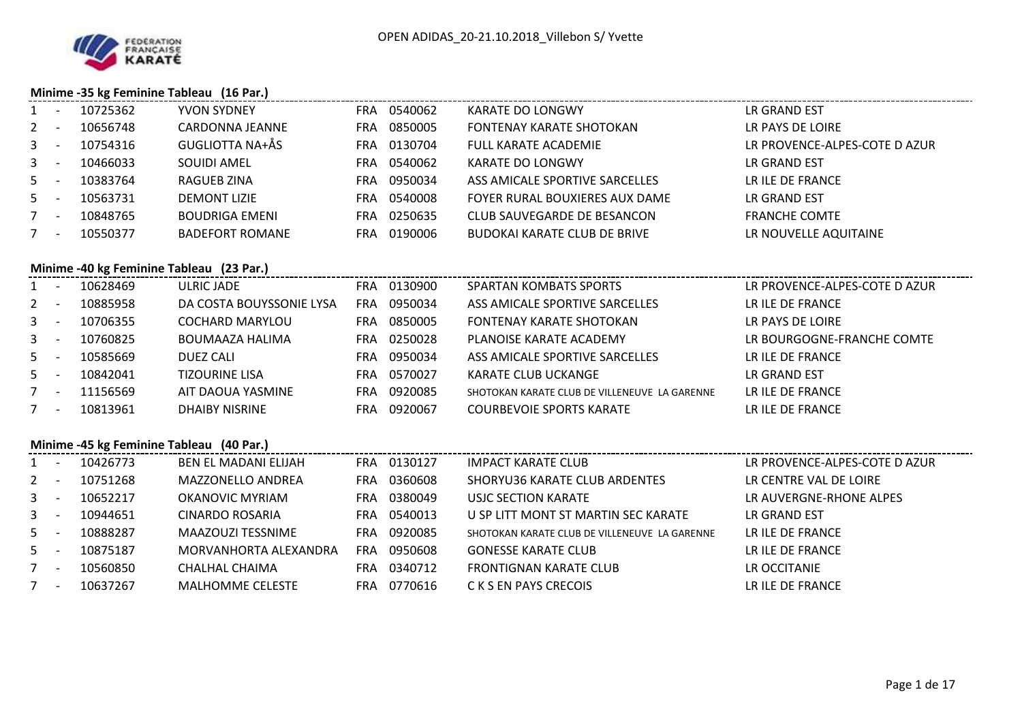

## **Minime -35 kg Feminine Tableau (16 Par.)**

| 1            | $\sim$ $-$ | 10725362     | <b>YVON SYDNEY</b>                       | FRA 0540062 | <b>KARATE DO LONGWY</b>                       | LR GRAND EST                  |
|--------------|------------|--------------|------------------------------------------|-------------|-----------------------------------------------|-------------------------------|
| $2 -$        |            | 10656748     | <b>CARDONNA JEANNE</b>                   | FRA 0850005 | FONTENAY KARATE SHOTOKAN                      | LR PAYS DE LOIRE              |
| $3 - 1$      |            | 10754316     | GUGLIOTTA NA+ÅS                          | FRA 0130704 | <b>FULL KARATE ACADEMIE</b>                   | LR PROVENCE-ALPES-COTE D AZUR |
| $3 - -$      |            | 10466033     | <b>SOUIDI AMEL</b>                       | FRA 0540062 | <b>KARATE DO LONGWY</b>                       | LR GRAND EST                  |
| $5 -$        |            | 10383764     | RAGUEB ZINA                              | FRA 0950034 | ASS AMICALE SPORTIVE SARCELLES                | LR ILE DE FRANCE              |
| $5 -$        |            | 10563731     | <b>DEMONT LIZIE</b>                      | FRA 0540008 | FOYER RURAL BOUXIERES AUX DAME                | LR GRAND EST                  |
| $7 -$        |            | 10848765     | <b>BOUDRIGA EMENI</b>                    | FRA 0250635 | CLUB SAUVEGARDE DE BESANCON                   | <b>FRANCHE COMTE</b>          |
| $7 -$        |            | 10550377     | <b>BADEFORT ROMANE</b>                   | FRA 0190006 | <b>BUDOKAI KARATE CLUB DE BRIVE</b>           | LR NOUVELLE AQUITAINE         |
|              |            |              | Minime -40 kg Feminine Tableau (23 Par.) |             |                                               |                               |
|              |            | 1 - 10628469 | <b>ULRIC JADE</b>                        | FRA 0130900 | <b>SPARTAN KOMBATS SPORTS</b>                 | LR PROVENCE-ALPES-COTE D AZUR |
| $2 - 1$      |            | 10885958     | DA COSTA BOUYSSONIE LYSA                 | FRA 0950034 | ASS AMICALE SPORTIVE SARCELLES                | LR ILE DE FRANCE              |
|              | $3 - 1$    | 10706355     | <b>COCHARD MARYLOU</b>                   | FRA 0850005 | <b>FONTENAY KARATE SHOTOKAN</b>               | LR PAYS DE LOIRE              |
| $3 - -$      |            | 10760825     | <b>BOUMAAZA HALIMA</b>                   | FRA 0250028 | PLANOISE KARATE ACADEMY                       | LR BOURGOGNE-FRANCHE COMTE    |
| $5 -$        |            | 10585669     | <b>DUEZ CALI</b>                         | FRA 0950034 | ASS AMICALE SPORTIVE SARCELLES                | LR ILE DE FRANCE              |
| $5 -$        |            | 10842041     | <b>TIZOURINE LISA</b>                    | FRA 0570027 | KARATE CLUB UCKANGE                           | LR GRAND EST                  |
| $7 -$        |            | 11156569     | AIT DAOUA YASMINE                        | FRA 0920085 | SHOTOKAN KARATE CLUB DE VILLENEUVE LA GARENNE | LR ILE DE FRANCE              |
| $7 -$        |            | 10813961     | <b>DHAIBY NISRINE</b>                    | FRA 0920067 | <b>COURBEVOIE SPORTS KARATE</b>               | LR ILE DE FRANCE              |
|              |            |              | Minime -45 kg Feminine Tableau (40 Par.) |             |                                               |                               |
|              |            | 1 - 10426773 | BEN EL MADANI ELIJAH                     | FRA 0130127 | <b>IMPACT KARATE CLUB</b>                     | LR PROVENCE-ALPES-COTE D AZUR |
| $2 -$        |            | 10751268     | MAZZONELLO ANDREA                        | FRA 0360608 | SHORYU36 KARATE CLUB ARDENTES                 | LR CENTRE VAL DE LOIRE        |
| $\mathbf{3}$ | $\sim$ $-$ | 10652217     | OKANOVIC MYRIAM                          | FRA 0380049 | USJC SECTION KARATE                           | LR AUVERGNE-RHONE ALPES       |
| $3 - -$      |            | 10944651     | <b>CINARDO ROSARIA</b>                   | FRA 0540013 | U SP LITT MONT ST MARTIN SEC KARATE           | LR GRAND EST                  |
| $5 -$        |            | 10888287     | MAAZOUZI TESSNIME                        | FRA 0920085 | SHOTOKAN KARATE CLUB DE VILLENEUVE LA GARENNE | LR ILE DE FRANCE              |
| $5 - 5$      |            | 10875187     | MORVANHORTA ALEXANDRA                    | FRA 0950608 | <b>GONESSE KARATE CLUB</b>                    | LR ILE DE FRANCE              |
| $7 -$        |            | 10560850     | <b>CHALHAL CHAIMA</b>                    | FRA 0340712 | <b>FRONTIGNAN KARATE CLUB</b>                 | LR OCCITANIE                  |
|              |            | 7 - 10637267 | <b>MALHOMME CELESTE</b>                  | FRA 0770616 | C K S EN PAYS CRECOIS                         | LR ILE DE FRANCE              |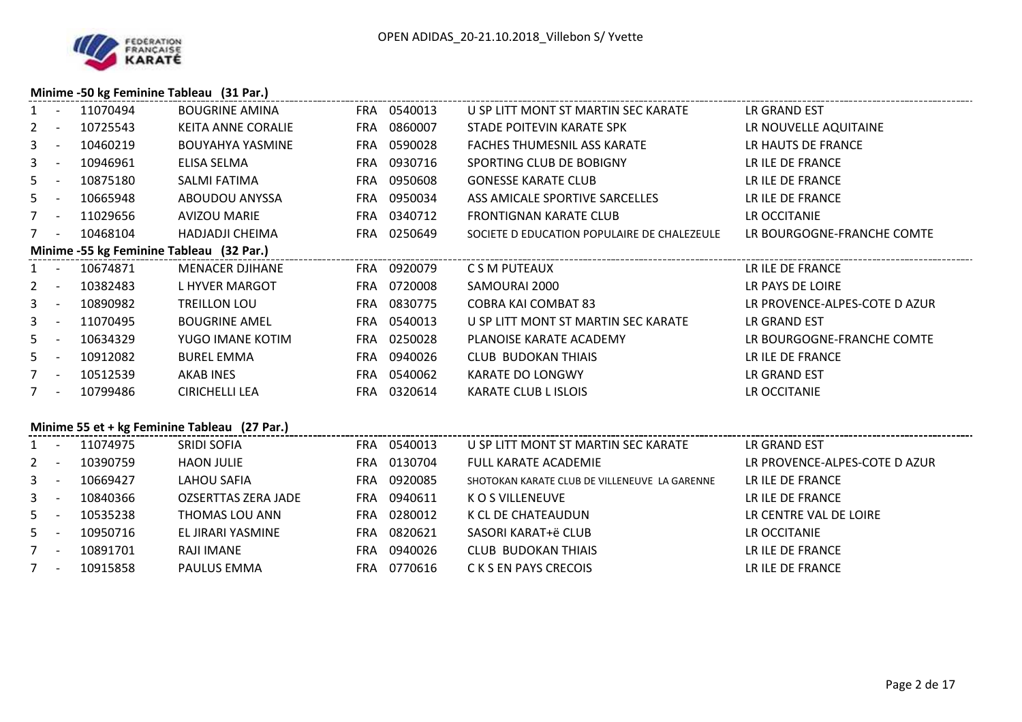

### **Minime -50 kg Feminine Tableau (31 Par.)**

|         |         | 1 - 11070494 | <b>BOUGRINE AMINA</b>                        | FRA 0540013 | U SP LITT MONT ST MARTIN SEC KARATE           | LR GRAND EST                  |
|---------|---------|--------------|----------------------------------------------|-------------|-----------------------------------------------|-------------------------------|
| $2 -$   |         | 10725543     | KEITA ANNE CORALIE                           | FRA 0860007 | STADE POITEVIN KARATE SPK                     | LR NOUVELLE AQUITAINE         |
|         | $3 - 1$ | 10460219     | <b>BOUYAHYA YASMINE</b>                      | FRA 0590028 | <b>FACHES THUMESNIL ASS KARATE</b>            | LR HAUTS DE FRANCE            |
|         | $3 - 1$ | 10946961     | ELISA SELMA                                  | FRA 0930716 | SPORTING CLUB DE BOBIGNY                      | LR ILE DE FRANCE              |
| $5 -$   |         | 10875180     | SALMI FATIMA                                 | FRA 0950608 | <b>GONESSE KARATE CLUB</b>                    | LR ILE DE FRANCE              |
|         |         | 5 - 10665948 | ABOUDOU ANYSSA                               | FRA 0950034 | ASS AMICALE SPORTIVE SARCELLES                | LR ILE DE FRANCE              |
|         | $7 -$   | 11029656     | AVIZOU MARIE                                 | FRA 0340712 | <b>FRONTIGNAN KARATE CLUB</b>                 | LR OCCITANIE                  |
| $7 -$   |         | 10468104     | HADJADJI CHEIMA                              | FRA 0250649 | SOCIETE D EDUCATION POPULAIRE DE CHALEZEULE   | LR BOURGOGNE-FRANCHE COMTE    |
|         |         |              | Minime -55 kg Feminine Tableau (32 Par.)     |             |                                               |                               |
|         |         | 1 - 10674871 | <b>MENACER DJIHANE</b>                       | FRA 0920079 | C S M PUTEAUX                                 | LR ILE DE FRANCE              |
|         |         | 2 - 10382483 | L HYVER MARGOT                               | FRA 0720008 | SAMOURAI 2000                                 | LR PAYS DE LOIRE              |
|         | $3 - 1$ | 10890982     | TREILLON LOU                                 | FRA 0830775 | <b>COBRA KAI COMBAT 83</b>                    | LR PROVENCE-ALPES-COTE D AZUR |
|         | $3 - 1$ | 11070495     | <b>BOUGRINE AMEL</b>                         | FRA 0540013 | U SP LITT MONT ST MARTIN SEC KARATE           | LR GRAND EST                  |
|         |         | 5 - 10634329 | YUGO IMANE KOTIM                             | FRA 0250028 | PLANOISE KARATE ACADEMY                       | LR BOURGOGNE-FRANCHE COMTE    |
|         | $5 - -$ | 10912082     | <b>BUREL EMMA</b>                            | FRA 0940026 | <b>CLUB BUDOKAN THIAIS</b>                    | LR ILE DE FRANCE              |
|         | $7 -$   | 10512539     | AKAB INES                                    | FRA 0540062 | KARATE DO LONGWY                              | LR GRAND EST                  |
|         |         | 7 - 10799486 | <b>CIRICHELLI LEA</b>                        | FRA 0320614 | <b>KARATE CLUB L ISLOIS</b>                   | LR OCCITANIE                  |
|         |         |              | Minime 55 et + kg Feminine Tableau (27 Par.) |             |                                               |                               |
|         |         | 1 - 11074975 | SRIDI SOFIA                                  | FRA 0540013 | U SP LITT MONT ST MARTIN SEC KARATE           | LR GRAND EST                  |
|         |         | 2 - 10390759 | <b>HAON JULIE</b>                            | FRA 0130704 | <b>FULL KARATE ACADEMIE</b>                   | LR PROVENCE-ALPES-COTE D AZUR |
|         |         | 3 - 10669427 | LAHOU SAFIA                                  | FRA 0920085 | SHOTOKAN KARATE CLUB DE VILLENEUVE LA GARENNE | LR ILE DE FRANCE              |
| $3 - -$ |         | 10840366     | <b>OZSERTTAS ZERA JADE</b>                   | FRA 0940611 | K O S VILLENEUVE                              | LR ILE DE FRANCE              |
|         | $5 - -$ | 10535238     | THOMAS LOU ANN                               | FRA 0280012 | K CL DE CHATEAUDUN                            | LR CENTRE VAL DE LOIRE        |
|         | $5 -$   | 10950716     | EL JIRARI YASMINE                            | FRA 0820621 | SASORI KARAT+ë CLUB                           | LR OCCITANIE                  |
| $7 -$   |         | 10891701     | RAJI IMANE                                   | FRA 0940026 | <b>CLUB BUDOKAN THIAIS</b>                    | LR ILE DE FRANCE              |
|         |         | 7 - 10915858 | PAULUS EMMA                                  | FRA 0770616 | C K S EN PAYS CRECOIS                         | LR ILE DE FRANCE              |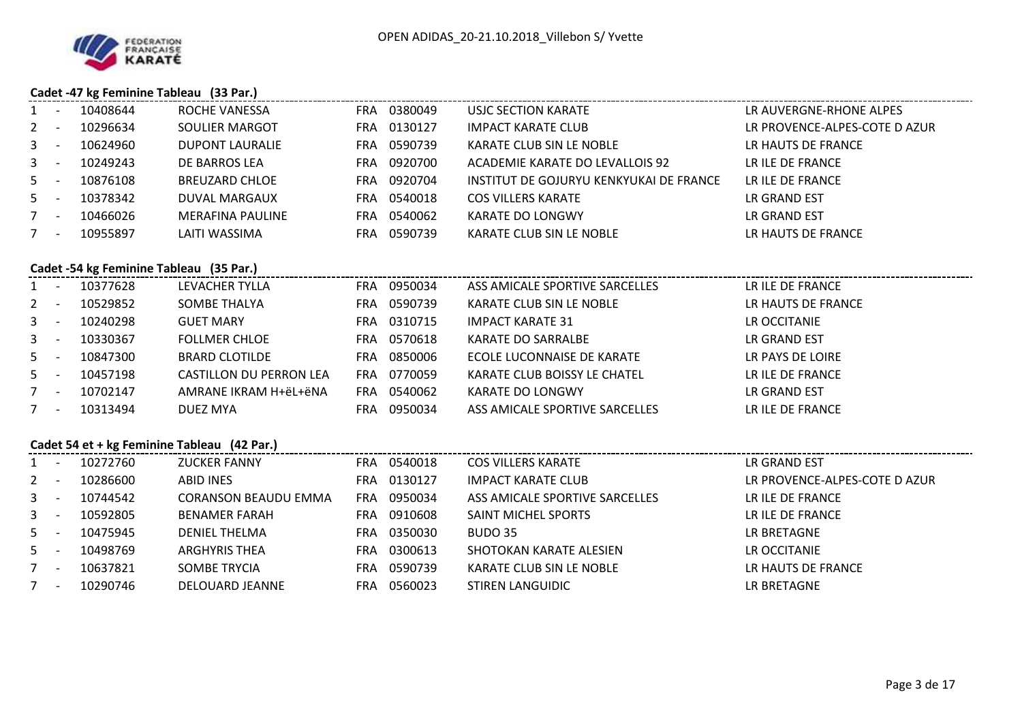

7

# **Cadet -47 kg Feminine Tableau (33 Par.)**

10290746 DELOUARD JEANNE FRA 0560023

| 1              | $\overline{\phantom{a}}$ | 10408644                                | ROCHE VANESSA                               | FRA 0380049 | USJC SECTION KARATE                     | LR AUVERGNE-RHONE ALPES       |
|----------------|--------------------------|-----------------------------------------|---------------------------------------------|-------------|-----------------------------------------|-------------------------------|
| $\overline{2}$ | $\sim$ $-$               | 10296634                                | SOULIER MARGOT                              | FRA 0130127 | <b>IMPACT KARATE CLUB</b>               | LR PROVENCE-ALPES-COTE D AZUR |
| 3              | $\sim$ $-$               | 10624960                                | <b>DUPONT LAURALIE</b>                      | FRA 0590739 | KARATE CLUB SIN LE NOBLE                | LR HAUTS DE FRANCE            |
| 3              | $\sim$ $-$               | 10249243                                | DE BARROS LEA                               | FRA 0920700 | ACADEMIE KARATE DO LEVALLOIS 92         | LR ILE DE FRANCE              |
| $5 -$          |                          | 10876108                                | <b>BREUZARD CHLOE</b>                       | FRA 0920704 | INSTITUT DE GOJURYU KENKYUKAI DE FRANCE | LR ILE DE FRANCE              |
| $5 -$          |                          | 10378342                                | DUVAL MARGAUX                               | FRA 0540018 | <b>COS VILLERS KARATE</b>               | LR GRAND EST                  |
|                | $7 -$                    | 10466026                                | <b>MERAFINA PAULINE</b>                     | FRA 0540062 | <b>KARATE DO LONGWY</b>                 | LR GRAND EST                  |
| $7 -$          |                          | 10955897                                | LAITI WASSIMA                               | FRA 0590739 | KARATE CLUB SIN LE NOBLE                | LR HAUTS DE FRANCE            |
|                |                          |                                         |                                             |             |                                         |                               |
|                |                          | Cadet -54 kg Feminine Tableau (35 Par.) |                                             |             |                                         |                               |
|                | $\sim$ $-$               | 10377628                                | LEVACHER TYLLA                              | FRA 0950034 | ASS AMICALE SPORTIVE SARCELLES          | LR ILE DE FRANCE              |
| $2^{\circ}$    | $\sim$ $-$               | 10529852                                | SOMBE THALYA                                | FRA 0590739 | KARATE CLUB SIN LE NOBLE                | LR HAUTS DE FRANCE            |
|                | $3 - -$                  | 10240298                                | <b>GUET MARY</b>                            | FRA 0310715 | <b>IMPACT KARATE 31</b>                 | LR OCCITANIE                  |
|                | $3 - 1$                  | 10330367                                | <b>FOLLMER CHLOE</b>                        | FRA 0570618 | KARATE DO SARRALBE                      | LR GRAND EST                  |
|                | $5 - 5$                  | 10847300                                | <b>BRARD CLOTILDE</b>                       | FRA 0850006 | ECOLE LUCONNAISE DE KARATE              | LR PAYS DE LOIRE              |
|                | $5 -$                    | 10457198                                | <b>CASTILLON DU PERRON LEA</b>              | FRA 0770059 | KARATE CLUB BOISSY LE CHATEL            | LR ILE DE FRANCE              |
|                | $7 -$                    | 10702147                                | AMRANE IKRAM H+ëL+ëNA                       | FRA 0540062 | KARATE DO LONGWY                        | LR GRAND EST                  |
| $7 -$          |                          | 10313494                                | DUEZ MYA                                    | FRA 0950034 | ASS AMICALE SPORTIVE SARCELLES          | LR ILE DE FRANCE              |
|                |                          |                                         | Cadet 54 et + kg Feminine Tableau (42 Par.) |             |                                         |                               |
|                | $1 -$                    | 10272760                                | <b>ZUCKER FANNY</b>                         | FRA 0540018 | <b>COS VILLERS KARATE</b>               | LR GRAND EST                  |
|                | $2 -$                    | 10286600                                | ABID INES                                   | FRA 0130127 | <b>IMPACT KARATE CLUB</b>               | LR PROVENCE-ALPES-COTE D AZUR |
| $3 - 1$        |                          | 10744542                                | <b>CORANSON BEAUDU EMMA</b>                 | FRA 0950034 | ASS AMICALE SPORTIVE SARCELLES          | LR ILE DE FRANCE              |
| 3 <sup>7</sup> | $\sim$ $-$               | 10592805                                | <b>BENAMER FARAH</b>                        | FRA 0910608 | SAINT MICHEL SPORTS                     | LR ILE DE FRANCE              |
|                | $5 -$                    | 10475945                                | DENIEL THELMA                               | FRA 0350030 | <b>BUDO 35</b>                          | LR BRETAGNE                   |
| $5 -$          |                          | 10498769                                | <b>ARGHYRIS THEA</b>                        | FRA 0300613 | SHOTOKAN KARATE ALESIEN                 | LR OCCITANIE                  |
|                | $7 -$                    | 10637821                                | SOMBE TRYCIA                                | FRA 0590739 | KARATE CLUB SIN LE NOBLE                | LR HAUTS DE FRANCE            |
|                |                          |                                         |                                             |             |                                         |                               |

STIREN LANGUIDIC **EXECUTE LANGUIDIC** LR BRETAGNE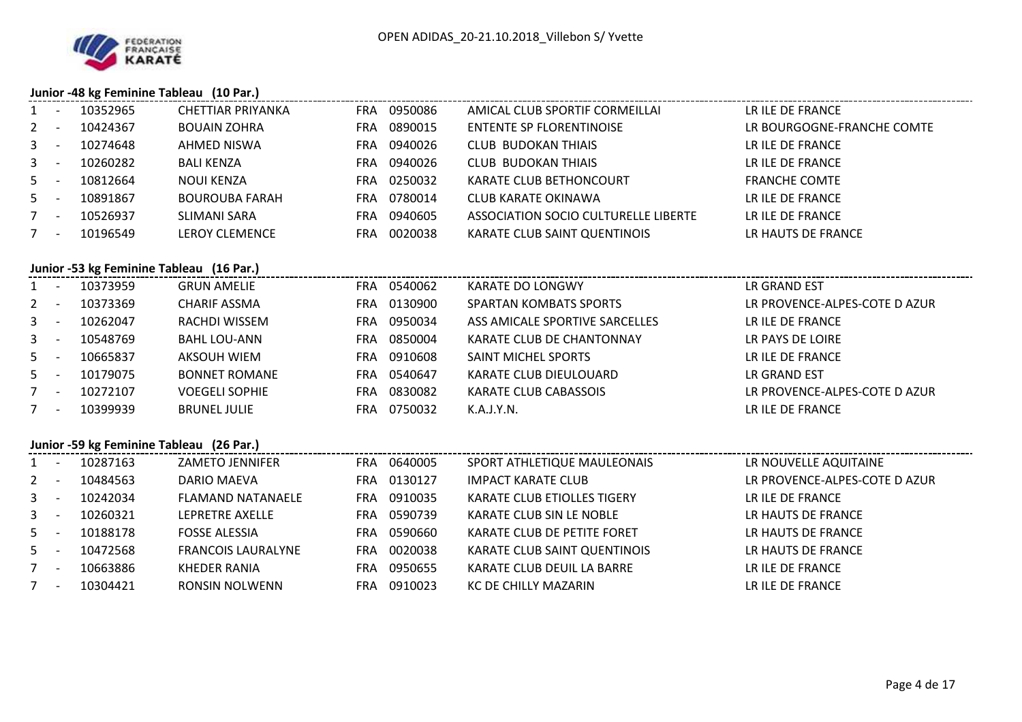

# **Junior -48 kg Feminine Tableau (10 Par.)**

| 1            | $\sim$ $-$ | 10352965                                 | <b>CHETTIAR PRIYANKA</b>  | FRA 0950086 | AMICAL CLUB SPORTIF CORMEILLAI       | LR ILE DE FRANCE              |
|--------------|------------|------------------------------------------|---------------------------|-------------|--------------------------------------|-------------------------------|
| $2 -$        |            | 10424367                                 | <b>BOUAIN ZOHRA</b>       | FRA 0890015 | <b>ENTENTE SP FLORENTINOISE</b>      | LR BOURGOGNE-FRANCHE COMTE    |
|              |            | 3 - 10274648                             | AHMED NISWA               | FRA 0940026 | <b>CLUB BUDOKAN THIAIS</b>           | LR ILE DE FRANCE              |
| 3            | $\sim$ $-$ | 10260282                                 | <b>BALI KENZA</b>         | FRA 0940026 | <b>CLUB BUDOKAN THIAIS</b>           | LR ILE DE FRANCE              |
| $5 -$        |            | 10812664                                 | NOUI KENZA                | FRA 0250032 | KARATE CLUB BETHONCOURT              | <b>FRANCHE COMTE</b>          |
| $5 - 5$      |            | 10891867                                 | <b>BOUROUBA FARAH</b>     | FRA 0780014 | <b>CLUB KARATE OKINAWA</b>           | LR ILE DE FRANCE              |
| $7 -$        |            | 10526937                                 | <b>SLIMANI SARA</b>       | FRA 0940605 | ASSOCIATION SOCIO CULTURELLE LIBERTE | LR ILE DE FRANCE              |
| $7 -$        |            | 10196549                                 | <b>LEROY CLEMENCE</b>     | FRA 0020038 | KARATE CLUB SAINT QUENTINOIS         | LR HAUTS DE FRANCE            |
|              |            |                                          |                           |             |                                      |                               |
|              |            | Junior -53 kg Feminine Tableau (16 Par.) |                           |             |                                      |                               |
|              |            | 1 - 10373959                             | <b>GRUN AMELIE</b>        | FRA 0540062 | <b>KARATE DO LONGWY</b>              | LR GRAND EST                  |
|              |            | 2 - 10373369                             | <b>CHARIF ASSMA</b>       | FRA 0130900 | <b>SPARTAN KOMBATS SPORTS</b>        | LR PROVENCE-ALPES-COTE D AZUR |
| 3            |            | $- 10262047$                             | RACHDI WISSEM             | FRA 0950034 | ASS AMICALE SPORTIVE SARCELLES       | LR ILE DE FRANCE              |
| $3 - 1$      |            | 10548769                                 | <b>BAHL LOU-ANN</b>       | FRA 0850004 | KARATE CLUB DE CHANTONNAY            | LR PAYS DE LOIRE              |
|              | $5 - 5$    | 10665837                                 | <b>AKSOUH WIEM</b>        | FRA 0910608 | SAINT MICHEL SPORTS                  | LR ILE DE FRANCE              |
|              |            | 5 - 10179075                             | <b>BONNET ROMANE</b>      | FRA 0540647 | KARATE CLUB DIEULOUARD               | LR GRAND EST                  |
| $7 -$        |            | 10272107                                 | <b>VOEGELI SOPHIE</b>     | FRA 0830082 | KARATE CLUB CABASSOIS                | LR PROVENCE-ALPES-COTE D AZUR |
| $7 -$        |            | 10399939                                 | <b>BRUNEL JULIE</b>       | FRA 0750032 | K.A.J.Y.N.                           | LR ILE DE FRANCE              |
|              |            |                                          |                           |             |                                      |                               |
|              |            | Junior -59 kg Feminine Tableau (26 Par.) |                           |             |                                      |                               |
|              |            | 1 - 10287163                             | <b>ZAMETO JENNIFER</b>    | FRA 0640005 | SPORT ATHLETIQUE MAULEONAIS          | LR NOUVELLE AQUITAINE         |
| $2 - 1$      |            | 10484563                                 | DARIO MAEVA               | FRA 0130127 | <b>IMPACT KARATE CLUB</b>            | LR PROVENCE-ALPES-COTE D AZUR |
| $\mathbf{3}$ | $\sim 100$ | 10242034                                 | <b>FLAMAND NATANAELE</b>  | FRA 0910035 | KARATE CLUB ETIOLLES TIGERY          | LR ILE DE FRANCE              |
|              | $3 - 1$    | 10260321                                 | LEPRETRE AXELLE           | FRA 0590739 | KARATE CLUB SIN LE NOBLE             | LR HAUTS DE FRANCE            |
| $5 - -$      |            | 10188178                                 | <b>FOSSE ALESSIA</b>      | FRA 0590660 | KARATE CLUB DE PETITE FORET          | LR HAUTS DE FRANCE            |
| $5 - 5$      |            | 10472568                                 | <b>FRANCOIS LAURALYNE</b> | FRA 0020038 | KARATE CLUB SAINT QUENTINOIS         | LR HAUTS DE FRANCE            |
| $7 -$        |            | 10663886                                 | <b>KHEDER RANIA</b>       | FRA 0950655 | KARATE CLUB DEUIL LA BARRE           | LR ILE DE FRANCE              |
|              |            | 7 - 10304421                             | <b>RONSIN NOLWENN</b>     | FRA 0910023 | KC DE CHILLY MAZARIN                 | LR ILE DE FRANCE              |
|              |            |                                          |                           |             |                                      |                               |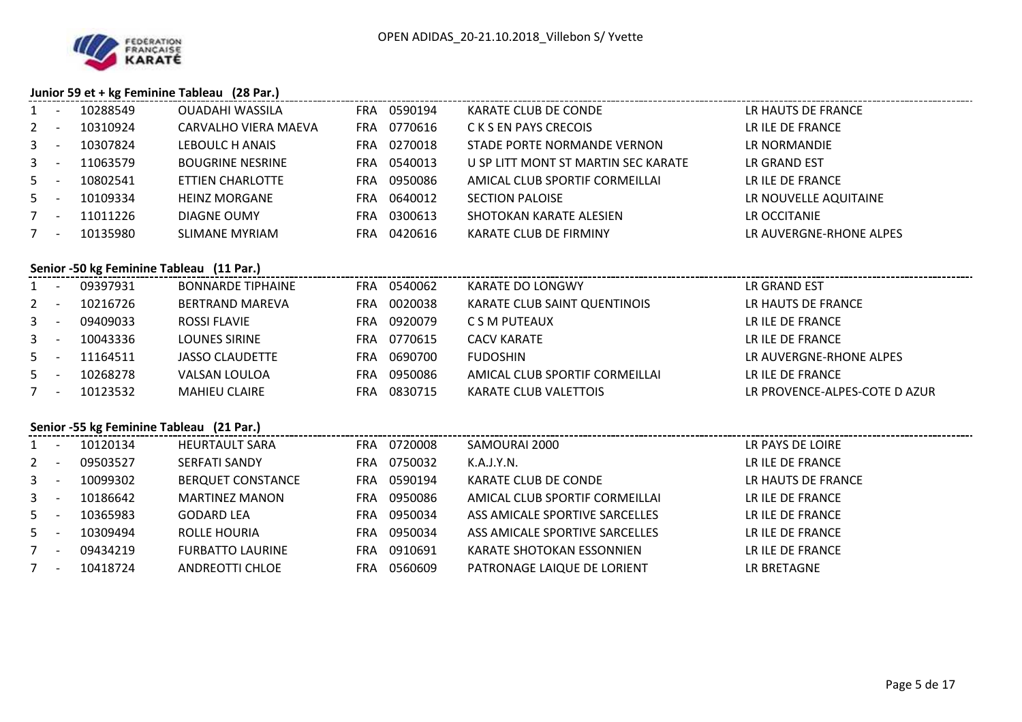

## **Junior 59 et + kg Feminine Tableau (28 Par.)**

|         |         |                                          | $30$ and $35$ ct $\tau$ $\kappa$ is common contracted to $\tau$ and $\tau$ |             |                                     |                               |
|---------|---------|------------------------------------------|----------------------------------------------------------------------------|-------------|-------------------------------------|-------------------------------|
|         |         | 1 - 10288549                             | <b>OUADAHI WASSILA</b>                                                     | FRA 0590194 | KARATE CLUB DE CONDE                | LR HAUTS DE FRANCE            |
| $2 -$   |         | 10310924                                 | CARVALHO VIERA MAEVA                                                       | FRA 0770616 | C K S EN PAYS CRECOIS               | LR ILE DE FRANCE              |
| $3 - 1$ |         | 10307824                                 | LEBOULC H ANAIS                                                            | FRA 0270018 | STADE PORTE NORMANDE VERNON         | LR NORMANDIE                  |
| $3 - 1$ |         | 11063579                                 | <b>BOUGRINE NESRINE</b>                                                    | FRA 0540013 | U SP LITT MONT ST MARTIN SEC KARATE | LR GRAND EST                  |
|         | $5 -$   | 10802541                                 | ETTIEN CHARLOTTE                                                           | FRA 0950086 | AMICAL CLUB SPORTIF CORMEILLAI      | LR ILE DE FRANCE              |
| $5 -$   |         | 10109334                                 | <b>HEINZ MORGANE</b>                                                       | FRA 0640012 | <b>SECTION PALOISE</b>              | LR NOUVELLE AQUITAINE         |
| $7 -$   |         | 11011226                                 | DIAGNE OUMY                                                                | FRA 0300613 | SHOTOKAN KARATE ALESIEN             | LR OCCITANIE                  |
|         | $7 -$   | 10135980                                 | <b>SLIMANE MYRIAM</b>                                                      | FRA 0420616 | KARATE CLUB DE FIRMINY              | LR AUVERGNE-RHONE ALPES       |
|         |         |                                          |                                                                            |             |                                     |                               |
|         |         | Senior -50 kg Feminine Tableau (11 Par.) |                                                                            |             |                                     |                               |
|         |         | 1 - 09397931                             | <b>BONNARDE TIPHAINE</b>                                                   | FRA 0540062 | <b>KARATE DO LONGWY</b>             | LR GRAND EST                  |
| $2 - 1$ |         | 10216726                                 | <b>BERTRAND MAREVA</b>                                                     | FRA 0020038 | KARATE CLUB SAINT QUENTINOIS        | LR HAUTS DE FRANCE            |
|         |         | 3 - 09409033                             | <b>ROSSI FLAVIE</b>                                                        | FRA 0920079 | C S M PUTEAUX                       | LR ILE DE FRANCE              |
|         |         | 3 - 10043336                             | <b>LOUNES SIRINE</b>                                                       | FRA 0770615 | <b>CACV KARATE</b>                  | LR ILE DE FRANCE              |
| $5 -$   |         | 11164511                                 | <b>JASSO CLAUDETTE</b>                                                     | FRA 0690700 | <b>FUDOSHIN</b>                     | LR AUVERGNE-RHONE ALPES       |
| $5 -$   |         | 10268278                                 | VALSAN LOULOA                                                              | FRA 0950086 | AMICAL CLUB SPORTIF CORMEILLAI      | LR ILE DE FRANCE              |
| $7 -$   |         | 10123532                                 | <b>MAHIEU CLAIRE</b>                                                       | FRA 0830715 | KARATE CLUB VALETTOIS               | LR PROVENCE-ALPES-COTE D AZUR |
|         |         |                                          |                                                                            |             |                                     |                               |
|         |         | Senior -55 kg Feminine Tableau (21 Par.) |                                                                            |             |                                     |                               |
|         |         | 1 - 10120134                             | <b>HEURTAULT SARA</b>                                                      | FRA 0720008 | SAMOURAI 2000                       | LR PAYS DE LOIRE              |
|         | $2 - 1$ | 09503527                                 | SERFATI SANDY                                                              | FRA 0750032 | K.A.J.Y.N.                          | LR ILE DE FRANCE              |
|         |         | 3 - 10099302                             | <b>BERQUET CONSTANCE</b>                                                   | FRA 0590194 | KARATE CLUB DE CONDE                | LR HAUTS DE FRANCE            |
| $3 - 1$ |         | 10186642                                 | <b>MARTINEZ MANON</b>                                                      | FRA 0950086 | AMICAL CLUB SPORTIF CORMEILLAI      | LR ILE DE FRANCE              |
| $5 - 5$ |         | 10365983                                 | <b>GODARD LEA</b>                                                          | FRA 0950034 | ASS AMICALE SPORTIVE SARCELLES      | LR ILE DE FRANCE              |
| $5 - 5$ |         | 10309494                                 | ROLLE HOURIA                                                               | FRA 0950034 | ASS AMICALE SPORTIVE SARCELLES      | LR ILE DE FRANCE              |
| $7 -$   |         | 09434219                                 | <b>FURBATTO LAURINE</b>                                                    | FRA 0910691 | KARATE SHOTOKAN ESSONNIEN           | LR ILE DE FRANCE              |
|         |         | 7 - 10418724                             | <b>ANDREOTTI CHLOE</b>                                                     | FRA 0560609 | PATRONAGE LAIQUE DE LORIENT         | LR BRETAGNE                   |
|         |         |                                          |                                                                            |             |                                     |                               |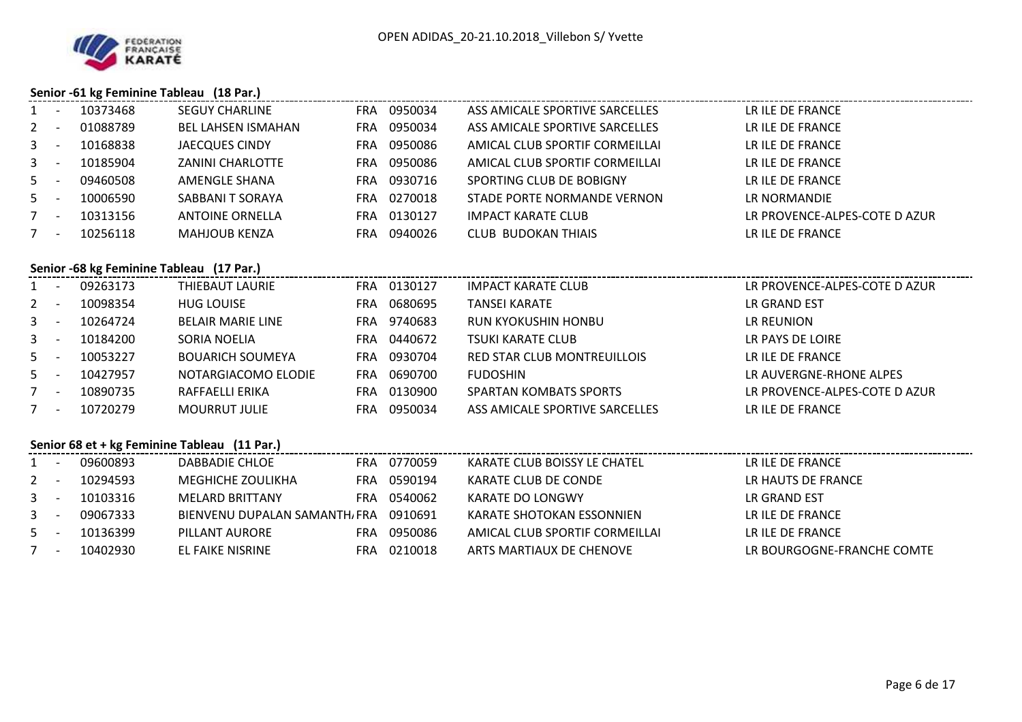

## **Senior -61 kg Feminine Tableau (18 Par.)**

|             |                                          |          | $55.101$ $01.051$ commo rabitude (10 mm)     |     |             |                                |                               |  |  |  |  |  |
|-------------|------------------------------------------|----------|----------------------------------------------|-----|-------------|--------------------------------|-------------------------------|--|--|--|--|--|
|             | $\sim$ $-$                               | 10373468 | <b>SEGUY CHARLINE</b>                        |     | FRA 0950034 | ASS AMICALE SPORTIVE SARCELLES | LR ILE DE FRANCE              |  |  |  |  |  |
| $2^{\circ}$ | $\overline{\phantom{a}}$                 | 01088789 | <b>BEL LAHSEN ISMAHAN</b>                    |     | FRA 0950034 | ASS AMICALE SPORTIVE SARCELLES | LR ILE DE FRANCE              |  |  |  |  |  |
| $3 - 1$     |                                          | 10168838 | <b>JAECQUES CINDY</b>                        | FRA | 0950086     | AMICAL CLUB SPORTIF CORMEILLAI | LR ILE DE FRANCE              |  |  |  |  |  |
| $3 - 1$     |                                          | 10185904 | <b>ZANINI CHARLOTTE</b>                      | FRA | 0950086     | AMICAL CLUB SPORTIF CORMEILLAI | LR ILE DE FRANCE              |  |  |  |  |  |
| $5 -$       |                                          | 09460508 | AMENGLE SHANA                                | FRA | 0930716     | SPORTING CLUB DE BOBIGNY       | LR ILE DE FRANCE              |  |  |  |  |  |
| $5 -$       |                                          | 10006590 | SABBANI T SORAYA                             |     | FRA 0270018 | STADE PORTE NORMANDE VERNON    | LR NORMANDIE                  |  |  |  |  |  |
| $7 -$       |                                          | 10313156 | <b>ANTOINE ORNELLA</b>                       | FRA | 0130127     | <b>IMPACT KARATE CLUB</b>      | LR PROVENCE-ALPES-COTE D AZUR |  |  |  |  |  |
| $7 -$       |                                          | 10256118 | <b>MAHJOUB KENZA</b>                         | FRA | 0940026     | <b>CLUB BUDOKAN THIAIS</b>     | LR ILE DE FRANCE              |  |  |  |  |  |
|             | Senior -68 kg Feminine Tableau (17 Par.) |          |                                              |     |             |                                |                               |  |  |  |  |  |
| $1 -$       |                                          | 09263173 | <b>THIEBAUT LAURIE</b>                       |     | FRA 0130127 | <b>IMPACT KARATE CLUB</b>      | LR PROVENCE-ALPES-COTE D AZUR |  |  |  |  |  |
| $2 -$       |                                          | 10098354 | <b>HUG LOUISE</b>                            |     | FRA 0680695 | <b>TANSEI KARATE</b>           | <b>LR GRAND EST</b>           |  |  |  |  |  |
| $3 - 5$     |                                          | 10264724 | <b>BELAIR MARIE LINE</b>                     |     | FRA 9740683 | RUN KYOKUSHIN HONBU            | LR REUNION                    |  |  |  |  |  |
| $3 - 1$     |                                          | 10184200 | SORIA NOELIA                                 | FRA | 0440672     | <b>TSUKI KARATE CLUB</b>       | LR PAYS DE LOIRE              |  |  |  |  |  |
| $5 -$       |                                          | 10053227 | <b>BOUARICH SOUMEYA</b>                      | FRA | 0930704     | RED STAR CLUB MONTREUILLOIS    | LR ILE DE FRANCE              |  |  |  |  |  |
| $5 -$       |                                          | 10427957 | NOTARGIACOMO ELODIE                          | FRA | 0690700     | <b>FUDOSHIN</b>                | LR AUVERGNE-RHONE ALPES       |  |  |  |  |  |
| $7 -$       |                                          | 10890735 | RAFFAELLI ERIKA                              |     | FRA 0130900 | SPARTAN KOMBATS SPORTS         | LR PROVENCE-ALPES-COTE D AZUR |  |  |  |  |  |
| $7 -$       |                                          | 10720279 | <b>MOURRUT JULIE</b>                         | FRA | 0950034     | ASS AMICALE SPORTIVE SARCELLES | LR ILE DE FRANCE              |  |  |  |  |  |
|             |                                          |          | Senior 68 et + kg Feminine Tableau (11 Par.) |     |             |                                |                               |  |  |  |  |  |
| $1 -$       |                                          | 09600893 | DABBADIE CHLOE                               |     | FRA 0770059 | KARATE CLUB BOISSY LE CHATEL   | LR ILE DE FRANCE              |  |  |  |  |  |

| $1 -$ | 09600893 | DABBADIE CHLOE                        |     | FRA 0770059 | KARATE CLUB BOISSY LE CHATEL   | LR ILE DE FRANCE           |
|-------|----------|---------------------------------------|-----|-------------|--------------------------------|----------------------------|
| $2 -$ | 10294593 | MEGHICHE ZOULIKHA                     |     | FRA 0590194 | KARATE CLUB DE CONDE           | LR HAUTS DE FRANCE         |
| $3 -$ | 10103316 | MELARD BRITTANY                       |     | FRA 0540062 | KARATE DO LONGWY               | LR GRAND EST               |
| $3 -$ | 09067333 | BIENVENU DUPALAN SAMANTH, FRA 0910691 |     |             | KARATE SHOTOKAN ESSONNIEN      | LR ILE DE FRANCE           |
| $5 -$ | 10136399 | PILLANT AURORE                        | FRA | 0950086     | AMICAL CLUB SPORTIF CORMEILLAI | LR ILE DE FRANCE           |
| $7 -$ | 10402930 | EL FAIKE NISRINE                      |     | FRA 0210018 | ARTS MARTIAUX DE CHENOVE       | LR BOURGOGNE-FRANCHE COMTE |
|       |          |                                       |     |             |                                |                            |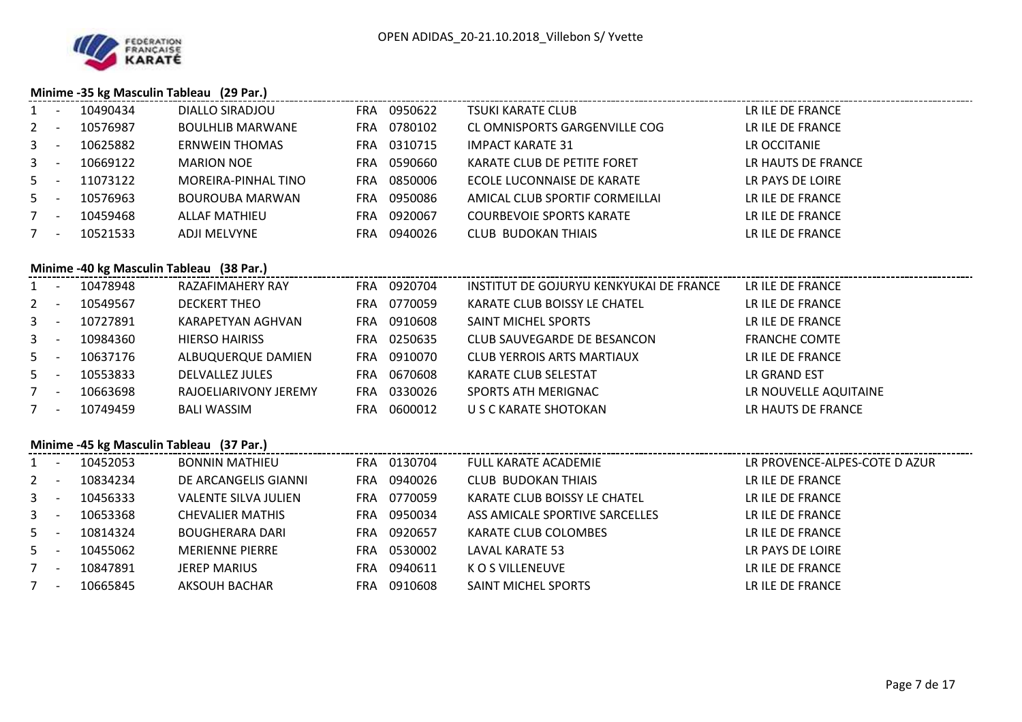

## **Minime -35 kg Masculin Tableau (29 Par.)**

| $1 -$   |               | 10490434     | DIALLO SIRADJOU                          | FRA 0950622 | <b>TSUKI KARATE CLUB</b>                | LR ILE DE FRANCE              |
|---------|---------------|--------------|------------------------------------------|-------------|-----------------------------------------|-------------------------------|
| $2 -$   |               | 10576987     | <b>BOULHLIB MARWANE</b>                  | FRA 0780102 | CL OMNISPORTS GARGENVILLE COG           | LR ILE DE FRANCE              |
|         |               | 3 - 10625882 | ERNWEIN THOMAS                           | FRA 0310715 | IMPACT KARATE 31                        | LR OCCITANIE                  |
| 3       | $\sim$ $\sim$ | 10669122     | <b>MARION NOE</b>                        | FRA 0590660 | KARATE CLUB DE PETITE FORET             | LR HAUTS DE FRANCE            |
|         | $5 -$         | 11073122     | MOREIRA-PINHAL TINO                      | FRA 0850006 | ECOLE LUCONNAISE DE KARATE              | LR PAYS DE LOIRE              |
| $5 -$   |               | 10576963     | <b>BOUROUBA MARWAN</b>                   | FRA 0950086 | AMICAL CLUB SPORTIF CORMEILLAI          | LR ILE DE FRANCE              |
| $7 -$   |               | 10459468     | <b>ALLAF MATHIEU</b>                     | FRA 0920067 | <b>COURBEVOIE SPORTS KARATE</b>         | LR ILE DE FRANCE              |
| $7 -$   |               | 10521533     | ADJI MELVYNE                             | FRA 0940026 | <b>CLUB BUDOKAN THIAIS</b>              | LR ILE DE FRANCE              |
|         |               |              |                                          |             |                                         |                               |
|         |               |              | Minime -40 kg Masculin Tableau (38 Par.) |             |                                         |                               |
|         |               | 1 - 10478948 | RAZAFIMAHERY RAY                         | FRA 0920704 | INSTITUT DE GOJURYU KENKYUKAI DE FRANCE | LR ILE DE FRANCE              |
|         |               | 2 - 10549567 | <b>DECKERT THEO</b>                      | FRA 0770059 | KARATE CLUB BOISSY LE CHATEL            | LR ILE DE FRANCE              |
|         |               | 3 - 10727891 | KARAPETYAN AGHVAN                        | FRA 0910608 | SAINT MICHEL SPORTS                     | LR ILE DE FRANCE              |
|         | $3 - 1$       | 10984360     | <b>HIERSO HAIRISS</b>                    | FRA 0250635 | CLUB SAUVEGARDE DE BESANCON             | <b>FRANCHE COMTE</b>          |
| $5 - -$ |               | 10637176     | ALBUQUERQUE DAMIEN                       | FRA 0910070 | <b>CLUB YERROIS ARTS MARTIAUX</b>       | LR ILE DE FRANCE              |
|         |               | 5 - 10553833 | DELVALLEZ JULES                          | FRA 0670608 | KARATE CLUB SELESTAT                    | LR GRAND EST                  |
| $7 -$   |               | 10663698     | RAJOELIARIVONY JEREMY                    | FRA 0330026 | SPORTS ATH MERIGNAC                     | LR NOUVELLE AQUITAINE         |
| $7 -$   |               | 10749459     | <b>BALI WASSIM</b>                       | FRA 0600012 | U S C KARATE SHOTOKAN                   | LR HAUTS DE FRANCE            |
|         |               |              |                                          |             |                                         |                               |
|         |               |              | Minime -45 kg Masculin Tableau (37 Par.) |             |                                         |                               |
|         |               | 1 - 10452053 | <b>BONNIN MATHIEU</b>                    | FRA 0130704 | <b>FULL KARATE ACADEMIE</b>             | LR PROVENCE-ALPES-COTE D AZUR |
|         |               | 2 - 10834234 | DE ARCANGELIS GIANNI                     | FRA 0940026 | <b>CLUB BUDOKAN THIAIS</b>              | LR ILE DE FRANCE              |
|         | $3 - -$       | 10456333     | VALENTE SILVA JULIEN                     | FRA 0770059 | KARATE CLUB BOISSY LE CHATEL            | LR ILE DE FRANCE              |
|         | $3 - 1$       | 10653368     | <b>CHEVALIER MATHIS</b>                  | FRA 0950034 | ASS AMICALE SPORTIVE SARCELLES          | LR ILE DE FRANCE              |
|         | $5 - -$       | 10814324     | <b>BOUGHERARA DARI</b>                   | FRA 0920657 | KARATE CLUB COLOMBES                    | LR ILE DE FRANCE              |
| $5 -$   |               | 10455062     | <b>MERIENNE PIERRE</b>                   | FRA 0530002 | LAVAL KARATE 53                         | LR PAYS DE LOIRE              |
|         | $7 -$         | 10847891     | <b>JEREP MARIUS</b>                      | FRA 0940611 | K O S VILLENEUVE                        | LR ILE DE FRANCE              |
|         |               | 7 - 10665845 | AKSOUH BACHAR                            | FRA 0910608 | SAINT MICHEL SPORTS                     | LR ILE DE FRANCE              |
|         |               |              |                                          |             |                                         |                               |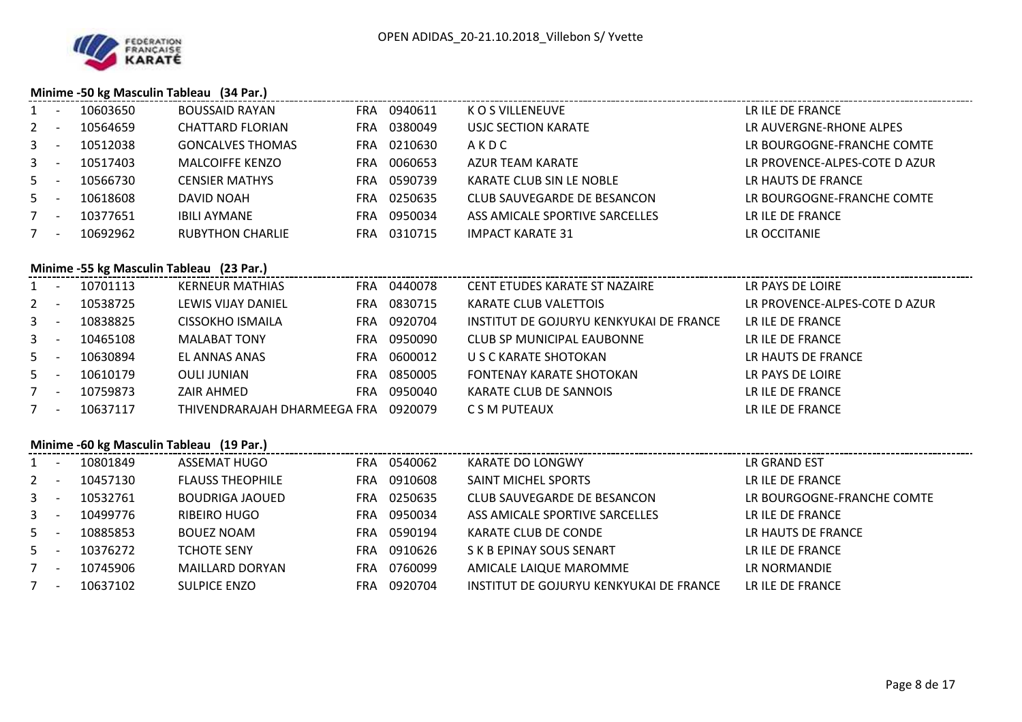

## **Minime -50 kg Masculin Tableau (34 Par.)**

| $1 -$   | 10603650 | <b>BOUSSAID RAYAN</b>                    | FRA 0940611 | K O S VILLENEUVE                        | LR ILE DE FRANCE              |
|---------|----------|------------------------------------------|-------------|-----------------------------------------|-------------------------------|
| $2 -$   | 10564659 | CHATTARD FLORIAN                         | FRA 0380049 | USJC SECTION KARATE                     | LR AUVERGNE-RHONE ALPES       |
| $3 - 5$ | 10512038 | <b>GONCALVES THOMAS</b>                  | FRA 0210630 | AKDC                                    | LR BOURGOGNE-FRANCHE COMTE    |
| $3 -$   | 10517403 | <b>MALCOIFFE KENZO</b>                   | FRA 0060653 | AZUR TEAM KARATE                        | LR PROVENCE-ALPES-COTE D AZUR |
| $5 -$   | 10566730 | <b>CENSIER MATHYS</b>                    | FRA 0590739 | KARATE CLUB SIN LE NOBLE                | LR HAUTS DE FRANCE            |
| $5 -$   | 10618608 | DAVID NOAH                               | FRA 0250635 | CLUB SAUVEGARDE DE BESANCON             | LR BOURGOGNE-FRANCHE COMTE    |
| $7 -$   | 10377651 | <b>IBILI AYMANE</b>                      | FRA 0950034 | ASS AMICALE SPORTIVE SARCELLES          | LR ILE DE FRANCE              |
| $7 -$   | 10692962 | <b>RUBYTHON CHARLIE</b>                  | FRA 0310715 | <b>IMPACT KARATE 31</b>                 | LR OCCITANIE                  |
|         |          |                                          |             |                                         |                               |
|         |          | Minime -55 kg Masculin Tableau (23 Par.) |             |                                         |                               |
| $1 -$   | 10701113 | KERNEUR MATHIAS                          | FRA 0440078 | CENT ETUDES KARATE ST NAZAIRE           | LR PAYS DE LOIRE              |
| $2 -$   | 10538725 | LEWIS VIJAY DANIEL                       | FRA 0830715 | KARATE CLUB VALETTOIS                   | LR PROVENCE-ALPES-COTE D AZUR |
| $3 - 1$ | 10838825 | CISSOKHO ISMAILA                         | FRA 0920704 | INSTITUT DE GOJURYU KENKYUKAI DE FRANCE | LR ILE DE FRANCE              |
| $3 - 1$ | 10465108 | <b>MALABAT TONY</b>                      | FRA 0950090 | CLUB SP MUNICIPAL EAUBONNE              | LR ILE DE FRANCE              |
| $5 -$   | 10630894 | EL ANNAS ANAS                            | FRA 0600012 | U S C KARATE SHOTOKAN                   | LR HAUTS DE FRANCE            |
| $5 -$   | 10610179 | OULI JUNIAN                              | FRA 0850005 | FONTENAY KARATE SHOTOKAN                | LR PAYS DE LOIRE              |
| $7 -$   | 10759873 | ZAIR AHMED                               | FRA 0950040 | KARATE CLUB DE SANNOIS                  | LR ILE DE FRANCE              |
| $7 -$   | 10637117 | THIVENDRARAJAH DHARMEEGA FRA 0920079     |             | C S M PUTEAUX                           | LR ILE DE FRANCE              |
|         |          |                                          |             |                                         |                               |

## **Minime -60 kg Masculin Tableau (19 Par.)**

|       | $\overline{\phantom{a}}$ | 10801849 | ASSEMAT HUGO            | FRA | 0540062 | KARATE DO LONGWY                        | LR GRAND EST               |
|-------|--------------------------|----------|-------------------------|-----|---------|-----------------------------------------|----------------------------|
| $2 -$ |                          | 10457130 | <b>FLAUSS THEOPHILE</b> | FRA | 0910608 | SAINT MICHEL SPORTS                     | LR ILE DE FRANCE           |
| $3 -$ |                          | 10532761 | BOUDRIGA JAOUED         | FRA | 0250635 | CLUB SAUVEGARDE DE BESANCON             | LR BOURGOGNE-FRANCHE COMTE |
| $3 -$ |                          | 10499776 | RIBEIRO HUGO            | FRA | 0950034 | ASS AMICALE SPORTIVE SARCELLES          | LR ILE DE FRANCE           |
| $5 -$ |                          | 10885853 | <b>BOUEZ NOAM</b>       | FRA | 0590194 | KARATE CLUB DE CONDE                    | LR HAUTS DE FRANCE         |
| $5 -$ |                          | 10376272 | <b>TCHOTE SENY</b>      | FRA | 0910626 | S K B EPINAY SOUS SENART                | LR ILE DE FRANCE           |
|       | $\overline{\phantom{a}}$ | 10745906 | <b>MAILLARD DORYAN</b>  | FRA | 0760099 | AMICALE LAIQUE MAROMME                  | LR NORMANDIE               |
|       | $\overline{\phantom{a}}$ | 10637102 | <b>SULPICE ENZO</b>     | FRA | 0920704 | INSTITUT DE GOJURYU KENKYUKAI DE FRANCE | LR ILE DE FRANCE           |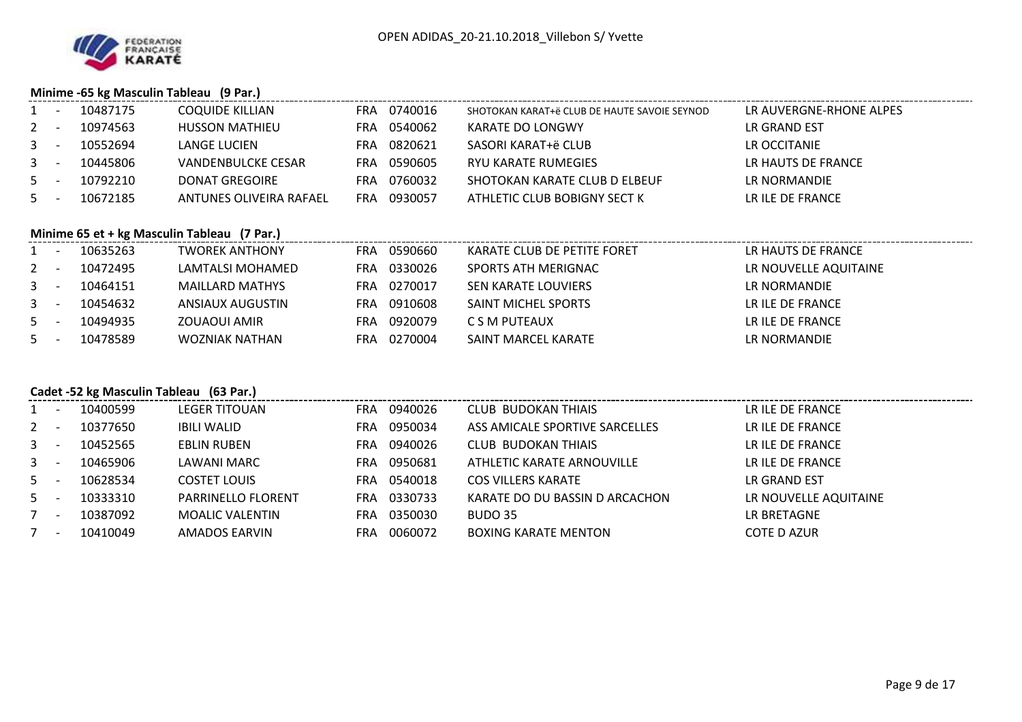

#### **Minime -65 kg Masculin Tableau (9 Par.)**

|       | $\mathcal{A}$ $\mathcal{A}$ | 10487175 | <b>COQUIDE KILLIAN</b>    | FRA | 0740016 | SHOTOKAN KARAT+ë CLUB DE HAUTE SAVOIE SEYNOD | LR AUVERGNE-RHONE ALPES |
|-------|-----------------------------|----------|---------------------------|-----|---------|----------------------------------------------|-------------------------|
| $2 -$ |                             | 10974563 | <b>HUSSON MATHIEU</b>     | FRA | 0540062 | KARATE DO LONGWY                             | LR GRAND EST            |
| $3 -$ |                             | 10552694 | LANGE LUCIEN              | FRA | 0820621 | SASORI KARAT+ë CLUB                          | LR OCCITANIE            |
| $3 -$ |                             | 10445806 | <b>VANDENBULCKE CESAR</b> | FRA | 0590605 | RYU KARATE RUMEGIES                          | LR HAUTS DE FRANCE      |
| $5 -$ |                             | 10792210 | DONAT GREGOIRE            | FRA | 0760032 | SHOTOKAN KARATE CLUB D ELBEUF                | LR NORMANDIE            |
| $5 -$ |                             | 10672185 | ANTUNES OLIVEIRA RAFAEL   | FRA | 0930057 | ATHLETIC CLUB BOBIGNY SECT K                 | LR ILE DE FRANCE        |

#### **Minime 65 et + kg Masculin Tableau (7 Par.)**

|       | $\overline{\phantom{a}}$ | 10635263 | <b>TWOREK ANTHONY</b> | <b>FRA</b> | 0590660     | KARATE CLUB DE PETITE FORET | LR HAUTS DE FRANCE    |
|-------|--------------------------|----------|-----------------------|------------|-------------|-----------------------------|-----------------------|
| $2 -$ |                          | 10472495 | LAMTALSI MOHAMED      | FRA.       | 0330026     | SPORTS ATH MERIGNAC         | LR NOUVELLE AQUITAINE |
| $3 -$ |                          | 10464151 | MAILLARD MATHYS       |            | FRA 0270017 | SEN KARATE LOUVIERS         | LR NORMANDIE          |
| $3 -$ |                          | 10454632 | ANSIAUX AUGUSTIN      | FRA.       | 0910608     | SAINT MICHEL SPORTS         | LR ILE DE FRANCE      |
| $5 -$ |                          | 10494935 | ZOUAOUI AMIR          | FRA        | 0920079     | C S M PUTEAUX               | LR ILE DE FRANCE      |
| $5 -$ |                          | 10478589 | WOZNIAK NATHAN        | FRA.       | 0270004     | SAINT MARCEL KARATE         | LR NORMANDIE          |

## **Cadet -52 kg Masculin Tableau (63 Par.)**

| $1 -$   | 10400599 | <b>LEGER TITOUAN</b>      | <b>FRA</b> | 0940026 | CLUB BUDOKAN THIAIS            | LR ILE DE FRANCE      |
|---------|----------|---------------------------|------------|---------|--------------------------------|-----------------------|
| $2 -$   | 10377650 | <b>IBILI WALID</b>        | <b>FRA</b> | 0950034 | ASS AMICALE SPORTIVE SARCELLES | LR ILE DE FRANCE      |
| $3 - 1$ | 10452565 | <b>EBLIN RUBEN</b>        | FRA.       | 0940026 | <b>CLUB BUDOKAN THIAIS</b>     | LR ILE DE FRANCE      |
| $3 - -$ | 10465906 | LAWANI MARC               | <b>FRA</b> | 0950681 | ATHLETIC KARATE ARNOUVILLE     | LR ILE DE FRANCE      |
| $5 -$   | 10628534 | <b>COSTET LOUIS</b>       | <b>FRA</b> | 0540018 | <b>COS VILLERS KARATE</b>      | LR GRAND EST          |
| $5 -$   | 10333310 | <b>PARRINELLO FLORENT</b> | FRA        | 0330733 | KARATE DO DU BASSIN D ARCACHON | LR NOUVELLE AQUITAINE |
| $7 -$   | 10387092 | <b>MOALIC VALENTIN</b>    | FRA        | 0350030 | BUDO 35                        | LR BRETAGNE           |
| $7 -$   | 10410049 | <b>AMADOS EARVIN</b>      | <b>FRA</b> | 0060072 | <b>BOXING KARATE MENTON</b>    | <b>COTE D AZUR</b>    |
|         |          |                           |            |         |                                |                       |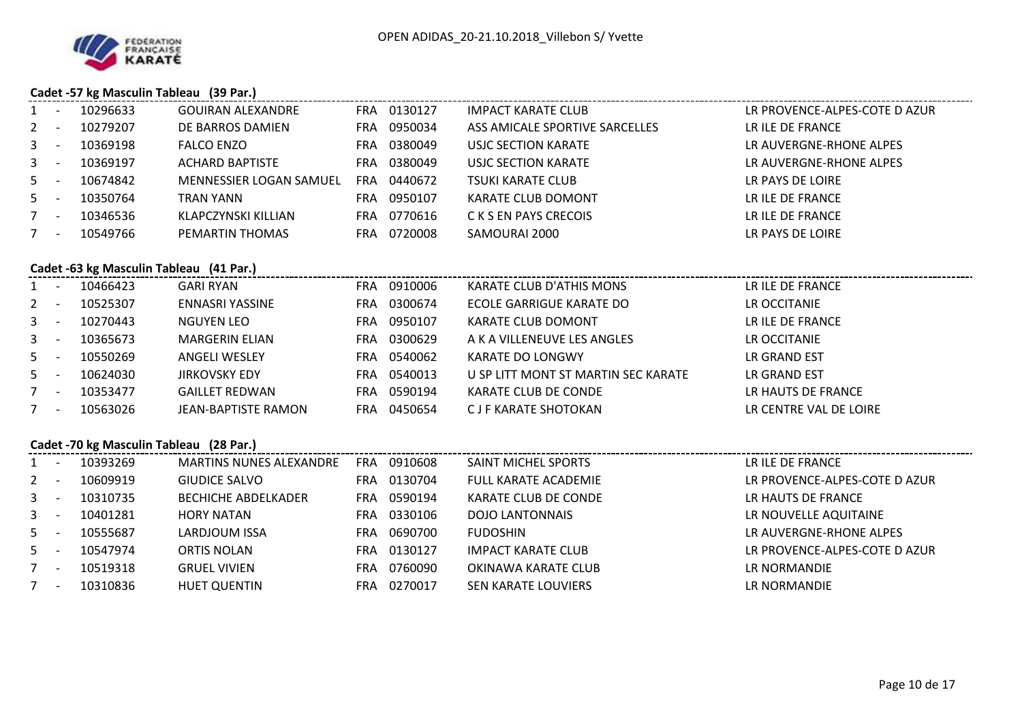

#### **Cadet -57 kg Masculin Tableau (39 Par.)**

| 1              | $\sim$     | 10296633                                | GOUIRAN ALEXANDRE                                                                  | FRA 0130127 | <b>IMPACT KARATE CLUB</b>           | LR PROVENCE-ALPES-COTE D AZUR |
|----------------|------------|-----------------------------------------|------------------------------------------------------------------------------------|-------------|-------------------------------------|-------------------------------|
| $\overline{2}$ | $\sim$ $-$ | 10279207                                | DE BARROS DAMIEN                                                                   | FRA 0950034 | ASS AMICALE SPORTIVE SARCELLES      | LR ILE DE FRANCE              |
|                | $3 - 1$    | 10369198                                | <b>FALCO ENZO</b>                                                                  | FRA 0380049 | <b>USJC SECTION KARATE</b>          | LR AUVERGNE-RHONE ALPES       |
|                | $3 - 1$    | 10369197                                | <b>ACHARD BAPTISTE</b>                                                             | FRA 0380049 | USJC SECTION KARATE                 | LR AUVERGNE-RHONE ALPES       |
|                | $5 - 5$    | 10674842                                | MENNESSIER LOGAN SAMUEL                                                            | FRA 0440672 | <b>TSUKI KARATE CLUB</b>            | LR PAYS DE LOIRE              |
|                | $5 -$      | 10350764                                | TRAN YANN                                                                          | FRA 0950107 | KARATE CLUB DOMONT                  | LR ILE DE FRANCE              |
|                | $7 -$      | 10346536                                | KLAPCZYNSKI KILLIAN                                                                | FRA 0770616 | C K S EN PAYS CRECOIS               | LR ILE DE FRANCE              |
|                | $7 -$      | 10549766                                | PEMARTIN THOMAS                                                                    | FRA 0720008 | SAMOURAI 2000                       | LR PAYS DE LOIRE              |
|                |            |                                         |                                                                                    |             |                                     |                               |
|                |            |                                         | Cadet -63 kg Masculin Tableau (41 Par.)<br>cadet -63 kg Masculin Tableau (41 Par.) |             |                                     |                               |
|                |            | 1 - 10466423                            | <b>GARI RYAN</b>                                                                   | FRA 0910006 | KARATE CLUB D'ATHIS MONS            | LR ILE DE FRANCE              |
|                |            | 2 - 10525307                            | <b>ENNASRI YASSINE</b>                                                             | FRA 0300674 | ECOLE GARRIGUE KARATE DO            | LR OCCITANIE                  |
|                | $3 - 1$    | 10270443                                | NGUYEN LEO                                                                         | FRA 0950107 | KARATE CLUB DOMONT                  | LR ILE DE FRANCE              |
|                | $3 - 1$    | 10365673                                | <b>MARGERIN ELIAN</b>                                                              | FRA 0300629 | A K A VILLENEUVE LES ANGLES         | LR OCCITANIE                  |
|                | $5 - 1$    | 10550269                                | <b>ANGELI WESLEY</b>                                                               | FRA 0540062 | <b>KARATE DO LONGWY</b>             | LR GRAND EST                  |
|                | $5 -$      | 10624030                                | <b>JIRKOVSKY EDY</b>                                                               | FRA 0540013 | U SP LITT MONT ST MARTIN SEC KARATE | LR GRAND EST                  |
|                | $7 -$      | 10353477                                | <b>GAILLET REDWAN</b>                                                              | FRA 0590194 | KARATE CLUB DE CONDE                | LR HAUTS DE FRANCE            |
|                | $7 -$      | 10563026                                | <b>JEAN-BAPTISTE RAMON</b>                                                         | FRA 0450654 | <b>CJF KARATE SHOTOKAN</b>          | LR CENTRE VAL DE LOIRE        |
|                |            |                                         |                                                                                    |             |                                     |                               |
|                |            | Cadet -70 kg Masculin Tableau (28 Par.) |                                                                                    |             |                                     |                               |
|                |            | 1 - 10393269                            | MARTINS NUNES ALEXANDRE                                                            | FRA 0910608 | SAINT MICHEL SPORTS                 | LR ILE DE FRANCE              |
|                | $2 -$      | 10609919                                | <b>GIUDICE SALVO</b>                                                               | FRA 0130704 | <b>FULL KARATE ACADEMIE</b>         | LR PROVENCE-ALPES-COTE D AZUR |
|                | $3 - 1$    | 10310735                                | <b>BECHICHE ABDELKADER</b>                                                         | FRA 0590194 | KARATE CLUB DE CONDE                | LR HAUTS DE FRANCE            |
|                | $3 - -$    | 10401281                                | <b>HORY NATAN</b>                                                                  | FRA 0330106 | <b>DOJO LANTONNAIS</b>              | LR NOUVELLE AQUITAINE         |
| 5 <sub>1</sub> | $\sim$ $-$ | 10555687                                | LARDJOUM ISSA                                                                      | FRA 0690700 | <b>FUDOSHIN</b>                     | LR AUVERGNE-RHONE ALPES       |
|                | $5 - 5$    | 10547974                                | <b>ORTIS NOLAN</b>                                                                 | FRA 0130127 | <b>IMPACT KARATE CLUB</b>           | LR PROVENCE-ALPES-COTE D AZUR |
| $7 -$          |            | 10519318                                | <b>GRUEL VIVIEN</b>                                                                | FRA 0760090 | OKINAWA KARATE CLUB                 | LR NORMANDIE                  |
|                | $7 -$      | 10310836                                | <b>HUET QUENTIN</b>                                                                | FRA 0270017 | <b>SEN KARATE LOUVIERS</b>          | LR NORMANDIE                  |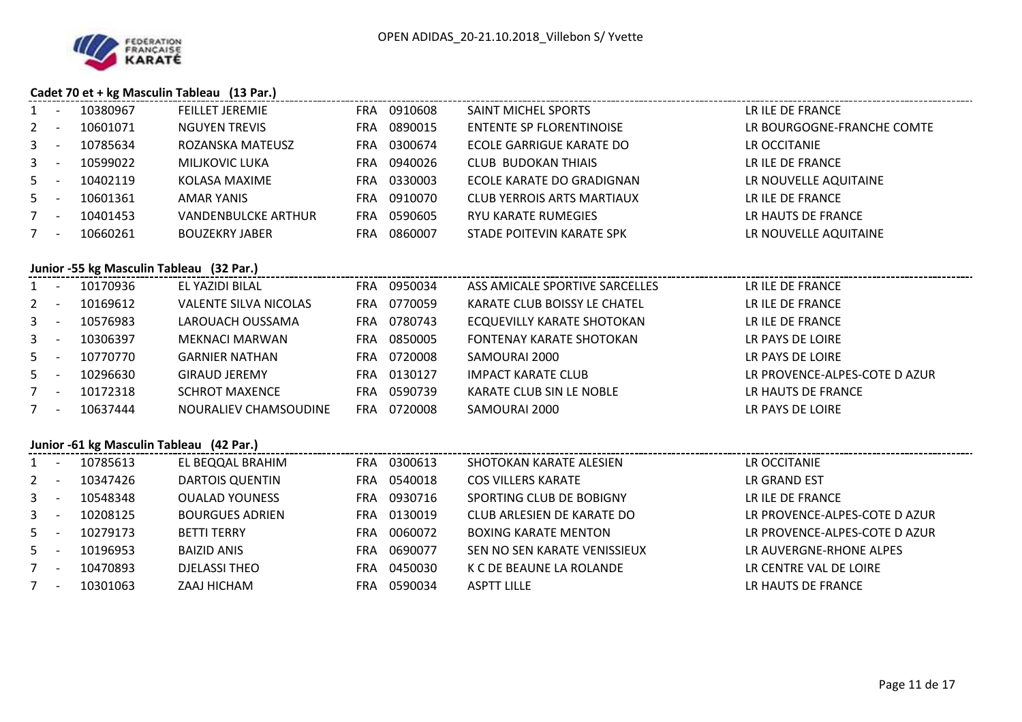

#### **Cadet 70 et + kg Masculin Tableau (13 Par.)**

| 1       | $\sim$                                   | 10380967                                 | <b>FEILLET JEREMIE</b>       |  | FRA 0910608 | SAINT MICHEL SPORTS               | LR ILE DE FRANCE              |  |  |  |  |  |
|---------|------------------------------------------|------------------------------------------|------------------------------|--|-------------|-----------------------------------|-------------------------------|--|--|--|--|--|
| $2 -$   |                                          | 10601071                                 | <b>NGUYEN TREVIS</b>         |  | FRA 0890015 | <b>ENTENTE SP FLORENTINOISE</b>   | LR BOURGOGNE-FRANCHE COMTE    |  |  |  |  |  |
| $3 - -$ |                                          | 10785634                                 | ROZANSKA MATEUSZ             |  | FRA 0300674 | ECOLE GARRIGUE KARATE DO          | LR OCCITANIE                  |  |  |  |  |  |
| $3 - 1$ |                                          | 10599022                                 | MILJKOVIC LUKA               |  | FRA 0940026 | <b>CLUB BUDOKAN THIAIS</b>        | LR ILE DE FRANCE              |  |  |  |  |  |
| $5 - 5$ |                                          | 10402119                                 | KOLASA MAXIME                |  | FRA 0330003 | ECOLE KARATE DO GRADIGNAN         | LR NOUVELLE AQUITAINE         |  |  |  |  |  |
| $5 -$   |                                          | 10601361                                 | AMAR YANIS                   |  | FRA 0910070 | <b>CLUB YERROIS ARTS MARTIAUX</b> | LR ILE DE FRANCE              |  |  |  |  |  |
| $7 -$   |                                          | 10401453                                 | <b>VANDENBULCKE ARTHUR</b>   |  | FRA 0590605 | RYU KARATE RUMEGIES               | LR HAUTS DE FRANCE            |  |  |  |  |  |
| $7 -$   |                                          | 10660261                                 | <b>BOUZEKRY JABER</b>        |  | FRA 0860007 | STADE POITEVIN KARATE SPK         | LR NOUVELLE AQUITAINE         |  |  |  |  |  |
|         | Junior -55 kg Masculin Tableau (32 Par.) |                                          |                              |  |             |                                   |                               |  |  |  |  |  |
|         |                                          | 1 - 10170936                             | EL YAZIDI BILAL              |  | FRA 0950034 | ASS AMICALE SPORTIVE SARCELLES    | LR ILE DE FRANCE              |  |  |  |  |  |
| $2 -$   |                                          | 10169612                                 | <b>VALENTE SILVA NICOLAS</b> |  | FRA 0770059 | KARATE CLUB BOISSY LE CHATEL      | LR ILE DE FRANCE              |  |  |  |  |  |
|         |                                          | 3 - 10576983                             | LAROUACH OUSSAMA             |  | FRA 0780743 | ECQUEVILLY KARATE SHOTOKAN        | LR ILE DE FRANCE              |  |  |  |  |  |
|         |                                          | 3 - 10306397                             | MEKNACI MARWAN               |  | FRA 0850005 | FONTENAY KARATE SHOTOKAN          | LR PAYS DE LOIRE              |  |  |  |  |  |
| $5 - -$ |                                          | 10770770                                 | <b>GARNIER NATHAN</b>        |  | FRA 0720008 | SAMOURAI 2000                     | LR PAYS DE LOIRE              |  |  |  |  |  |
| $5 - 5$ |                                          | 10296630                                 | <b>GIRAUD JEREMY</b>         |  | FRA 0130127 | <b>IMPACT KARATE CLUB</b>         | LR PROVENCE-ALPES-COTE D AZUR |  |  |  |  |  |
|         | $7 -$                                    | 10172318                                 | <b>SCHROT MAXENCE</b>        |  | FRA 0590739 | KARATE CLUB SIN LE NOBLE          | LR HAUTS DE FRANCE            |  |  |  |  |  |
| $7 -$   |                                          | 10637444                                 | NOURALIEV CHAMSOUDINE        |  | FRA 0720008 | SAMOURAI 2000                     | LR PAYS DE LOIRE              |  |  |  |  |  |
|         |                                          | Junior -61 kg Masculin Tableau (42 Par.) |                              |  |             |                                   |                               |  |  |  |  |  |
|         |                                          | 1 - 10785613                             | EL BEQQAL BRAHIM             |  | FRA 0300613 | SHOTOKAN KARATE ALESIEN           | LR OCCITANIE                  |  |  |  |  |  |
| $2 -$   |                                          | 10347426                                 | <b>DARTOIS QUENTIN</b>       |  | FRA 0540018 | <b>COS VILLERS KARATE</b>         | LR GRAND EST                  |  |  |  |  |  |
|         | $3 -$                                    | 10548348                                 | <b>OUALAD YOUNESS</b>        |  | FRA 0930716 | SPORTING CLUB DE BOBIGNY          | LR ILE DE FRANCE              |  |  |  |  |  |
| $3 - -$ |                                          | 10208125                                 | <b>BOURGUES ADRIEN</b>       |  | FRA 0130019 | CLUB ARLESIEN DE KARATE DO        | LR PROVENCE-ALPES-COTE D AZUR |  |  |  |  |  |
| $5 -$   |                                          | 10279173                                 | <b>BETTI TERRY</b>           |  | FRA 0060072 | <b>BOXING KARATE MENTON</b>       | LR PROVENCE-ALPES-COTE D AZUR |  |  |  |  |  |
| $5 -$   |                                          | 10196953                                 | <b>BAIZID ANIS</b>           |  | FRA 0690077 | SEN NO SEN KARATE VENISSIEUX      | LR AUVERGNE-RHONE ALPES       |  |  |  |  |  |
| $7 -$   |                                          | 10470893                                 | <b>DJELASSI THEO</b>         |  | FRA 0450030 | K C DE BEAUNE LA ROLANDE          | LR CENTRE VAL DE LOIRE        |  |  |  |  |  |
| $7 -$   |                                          | 10301063                                 | ZAAJ HICHAM                  |  | FRA 0590034 | <b>ASPTT LILLE</b>                | LR HAUTS DE FRANCE            |  |  |  |  |  |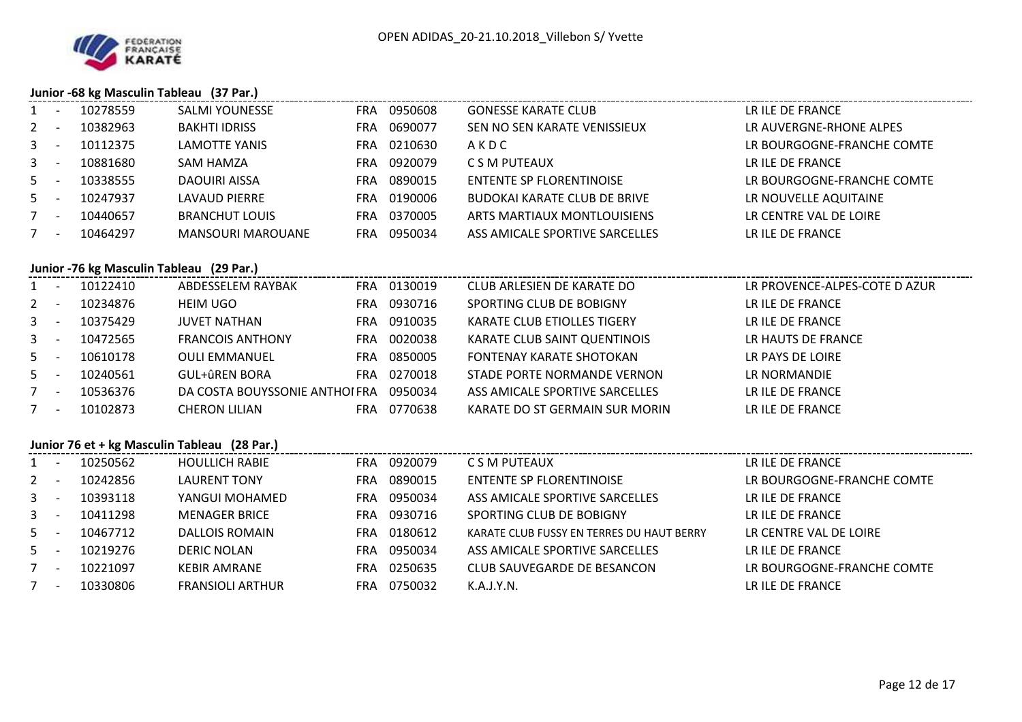

## **Junior -68 kg Masculin Tableau (37 Par.)**

|         |        |          | $341101$ co $\frac{1}{2}$ masculing rapidum (37 marr) |                       |                                 |                               |
|---------|--------|----------|-------------------------------------------------------|-----------------------|---------------------------------|-------------------------------|
|         | $\sim$ | 10278559 | <b>SALMI YOUNESSE</b>                                 | 0950608<br>FRA        | <b>GONESSE KARATE CLUB</b>      | LR ILE DE FRANCE              |
| $2 -$   |        | 10382963 | <b>BAKHTI IDRISS</b>                                  | 0690077<br>FRA.       | SEN NO SEN KARATE VENISSIEUX    | LR AUVERGNE-RHONE ALPES       |
| $3 -$   |        | 10112375 | LAMOTTE YANIS                                         | 0210630<br><b>FRA</b> | AKDC                            | LR BOURGOGNE-FRANCHE COMTE    |
| $3 -$   |        | 10881680 | SAM HAMZA                                             | 0920079<br>FRA        | C S M PUTEAUX                   | LR ILE DE FRANCE              |
| $5 -$   |        | 10338555 | DAOUIRI AISSA                                         | 0890015<br><b>FRA</b> | <b>ENTENTE SP FLORENTINOISE</b> | LR BOURGOGNE-FRANCHE COMTE    |
| $5 -$   |        | 10247937 | LAVAUD PIERRE                                         | FRA 0190006           | BUDOKAI KARATE CLUB DE BRIVE    | LR NOUVELLE AQUITAINE         |
| $7 -$   |        | 10440657 | <b>BRANCHUT LOUIS</b>                                 | 0370005<br>FRA        | ARTS MARTIAUX MONTLOUISIENS     | LR CENTRE VAL DE LOIRE        |
| $7 -$   |        | 10464297 | <b>MANSOURI MAROUANE</b>                              | 0950034<br><b>FRA</b> | ASS AMICALE SPORTIVE SARCELLES  | LR ILE DE FRANCE              |
|         |        |          | Junior -76 kg Masculin Tableau (29 Par.)              |                       |                                 |                               |
| $1 -$   |        | 10122410 | ABDESSELEM RAYBAK                                     | FRA 0130019           | CLUB ARLESIEN DE KARATE DO      | LR PROVENCE-ALPES-COTE D AZUR |
| $2 -$   |        | 10234876 | <b>HEIM UGO</b>                                       | 0930716<br><b>FRA</b> | SPORTING CLUB DE BOBIGNY        | LR ILE DE FRANCE              |
| $3 -$   |        | 10375429 | <b>JUVET NATHAN</b>                                   | 0910035<br><b>FRA</b> | KARATE CLUB ETIOLLES TIGERY     | LR ILE DE FRANCE              |
| $3 - -$ |        | 10472565 | <b>FRANCOIS ANTHONY</b>                               | 0020038<br><b>FRA</b> | KARATE CLUB SAINT QUENTINOIS    | LR HAUTS DE FRANCE            |
|         |        |          |                                                       |                       |                                 |                               |

| $1 -$        |                          | 10122410 | ABDESSELEM RAYBAK             | <b>FRA</b> | 0130019 | CLUB ARLESIEN DE KARATE DO      | LR PROVENCE-ALPES-COTE D AZUR |
|--------------|--------------------------|----------|-------------------------------|------------|---------|---------------------------------|-------------------------------|
| $2^{\circ}$  |                          | 10234876 | <b>HEIM UGO</b>               | <b>FRA</b> | 0930716 | SPORTING CLUB DE BOBIGNY        | LR ILE DE FRANCE              |
| $\mathbf{3}$ | $\overline{\phantom{a}}$ | 10375429 | JUVET NATHAN                  | <b>FRA</b> | 0910035 | KARATE CLUB ETIOLLES TIGERY     | LR ILE DE FRANCE              |
| $3 -$        |                          | 10472565 | <b>FRANCOIS ANTHONY</b>       | <b>FRA</b> | 0020038 | KARATE CLUB SAINT QUENTINOIS    | LR HAUTS DE FRANCE            |
| $5 -$        |                          | 10610178 | <b>OULI EMMANUEL</b>          | <b>FRA</b> | 0850005 | <b>FONTENAY KARATE SHOTOKAN</b> | LR PAYS DE LOIRE              |
| $5 -$        |                          | 10240561 | <b>GUL+ûREN BORA</b>          | <b>FRA</b> | 0270018 | STADE PORTE NORMANDE VERNON     | LR NORMANDIE                  |
|              | <b>.</b>                 | 10536376 | DA COSTA BOUYSSONIE ANTHOLFRA |            | 0950034 | ASS AMICALE SPORTIVE SARCELLES  | LR ILE DE FRANCE              |
|              | $\overline{\phantom{a}}$ | 10102873 | <b>CHERON LILIAN</b>          | FRA        | 0770638 | KARATE DO ST GERMAIN SUR MORIN  | LR ILE DE FRANCE              |

## **Junior 76 et + kg Masculin Tableau (28 Par.)**

| $1 -$   | 10250562 | <b>HOULLICH RABIE</b>   | FRA.       | 0920079 | C S M PUTEAUX                             | LR ILE DE FRANCE           |
|---------|----------|-------------------------|------------|---------|-------------------------------------------|----------------------------|
| $2 -$   | 10242856 | <b>LAURENT TONY</b>     | <b>FRA</b> | 0890015 | <b>ENTENTE SP FLORENTINOISE</b>           | LR BOURGOGNE-FRANCHE COMTE |
| $3 -$   | 10393118 | YANGUI MOHAMED          | <b>FRA</b> | 0950034 | ASS AMICALE SPORTIVE SARCELLES            | LR ILE DE FRANCE           |
| $3 - 1$ | 10411298 | <b>MENAGER BRICE</b>    | <b>FRA</b> | 0930716 | SPORTING CLUB DE BOBIGNY                  | LR ILE DE FRANCE           |
| $5 -$   | 10467712 | <b>DALLOIS ROMAIN</b>   | <b>FRA</b> | 0180612 | KARATE CLUB FUSSY EN TERRES DU HAUT BERRY | LR CENTRE VAL DE LOIRE     |
| $5 -$   | 10219276 | <b>DERIC NOLAN</b>      | <b>FRA</b> | 0950034 | ASS AMICALE SPORTIVE SARCELLES            | LR ILE DE FRANCE           |
| $7 -$   | 10221097 | <b>KEBIR AMRANE</b>     | FRA        | 0250635 | CLUB SAUVEGARDE DE BESANCON               | LR BOURGOGNE-FRANCHE COMTE |
| $7 -$   | 10330806 | <b>FRANSIOLI ARTHUR</b> | <b>FRA</b> | 0750032 | K.A.J.Y.N.                                | LR ILE DE FRANCE           |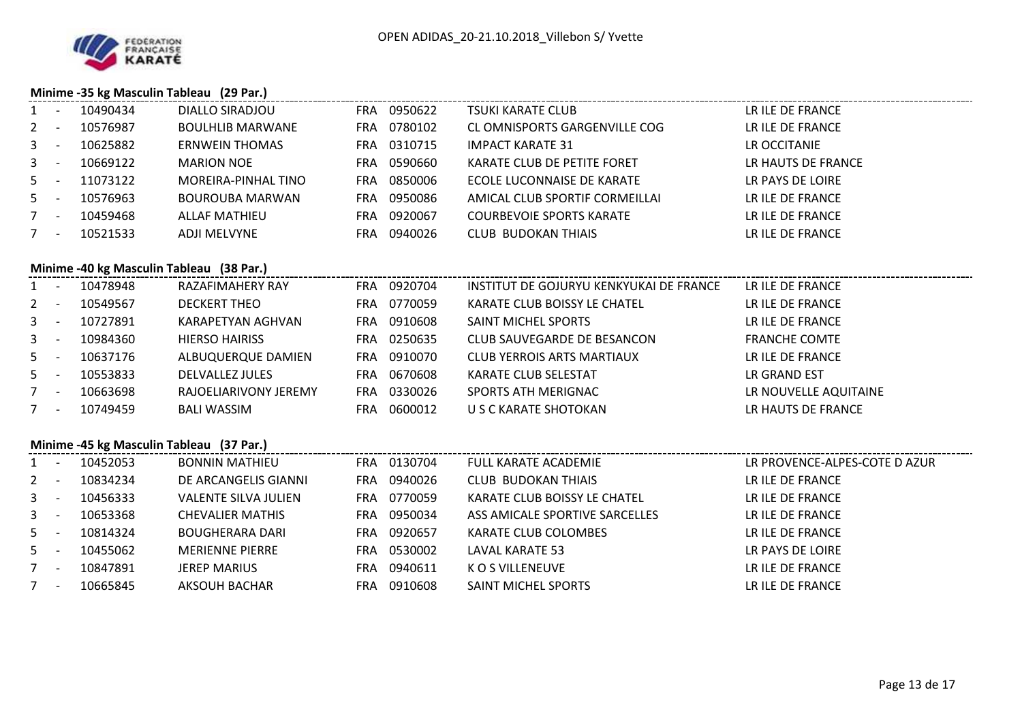

## **Minime -35 kg Masculin Tableau (29 Par.)**

| $\mathbf{1}$ | $\sim$  | 10490434     | DIALLO SIRADJOU                          | FRA 0950622 | <b>TSUKI KARATE CLUB</b>          | LR ILE DE FRANCE              |
|--------------|---------|--------------|------------------------------------------|-------------|-----------------------------------|-------------------------------|
| $2 -$        |         | 10576987     | <b>BOULHLIB MARWANE</b>                  | FRA 0780102 | CL OMNISPORTS GARGENVILLE COG     | LR ILE DE FRANCE              |
| $3 - 1$      |         | 10625882     | <b>ERNWEIN THOMAS</b>                    | FRA 0310715 | <b>IMPACT KARATE 31</b>           | LR OCCITANIE                  |
| $3 - 1$      |         | 10669122     | <b>MARION NOE</b>                        | FRA 0590660 | KARATE CLUB DE PETITE FORET       | LR HAUTS DE FRANCE            |
| $5 -$        |         | 11073122     | MOREIRA-PINHAL TINO                      | FRA 0850006 | ECOLE LUCONNAISE DE KARATE        | LR PAYS DE LOIRE              |
| $5 -$        |         | 10576963     | BOUROUBA MARWAN                          | FRA 0950086 | AMICAL CLUB SPORTIF CORMEILLAI    | LR ILE DE FRANCE              |
| $7 -$        |         | 10459468     | <b>ALLAF MATHIEU</b>                     | FRA 0920067 | <b>COURBEVOIE SPORTS KARATE</b>   | LR ILE DE FRANCE              |
| $7 -$        |         | 10521533     | <b>ADJI MELVYNE</b>                      | FRA 0940026 | <b>CLUB BUDOKAN THIAIS</b>        | LR ILE DE FRANCE              |
|              |         |              |                                          |             |                                   |                               |
|              |         |              | Minime -40 kg Masculin Tableau (38 Par.) |             |                                   |                               |
|              |         | 1 - 10478948 | RAZAFIMAHERY RAY                         |             |                                   |                               |
|              |         | 2 - 10549567 | <b>DECKERT THEO</b>                      | FRA 0770059 | KARATE CLUB BOISSY LE CHATEL      | LR ILE DE FRANCE              |
|              | $3 -$   | 10727891     | KARAPETYAN AGHVAN                        | FRA 0910608 | SAINT MICHEL SPORTS               | LR ILE DE FRANCE              |
|              | $3 - 1$ | 10984360     | <b>HIERSO HAIRISS</b>                    | FRA 0250635 | CLUB SAUVEGARDE DE BESANCON       | <b>FRANCHE COMTE</b>          |
|              | $5 -$   | 10637176     | ALBUQUERQUE DAMIEN                       | FRA 0910070 | <b>CLUB YERROIS ARTS MARTIAUX</b> | LR ILE DE FRANCE              |
| $5 -$        |         | 10553833     | DELVALLEZ JULES                          | FRA 0670608 | KARATE CLUB SELESTAT              | LR GRAND EST                  |
| $7 -$        |         | 10663698     | RAJOELIARIVONY JEREMY                    | FRA 0330026 | SPORTS ATH MERIGNAC               | LR NOUVELLE AQUITAINE         |
| $7 -$        |         | 10749459     | <b>BALI WASSIM</b>                       | FRA 0600012 | U S C KARATE SHOTOKAN             | LR HAUTS DE FRANCE            |
|              |         |              |                                          |             |                                   |                               |
|              |         |              | Minime -45 kg Masculin Tableau (37 Par.) |             |                                   |                               |
| $1 -$        |         | 10452053     | <b>BONNIN MATHIEU</b>                    | FRA 0130704 | <b>FULL KARATE ACADEMIE</b>       | LR PROVENCE-ALPES-COTE D AZUR |
| $2 -$        |         | 10834234     | DE ARCANGELIS GIANNI                     | FRA 0940026 | <b>CLUB BUDOKAN THIAIS</b>        | LR ILE DE FRANCE              |
| $3 - 1$      |         | 10456333     | <b>VALENTE SILVA JULIEN</b>              | FRA 0770059 | KARATE CLUB BOISSY LE CHATEL      | LR ILE DE FRANCE              |
| $3 - -$      |         | 10653368     | <b>CHEVALIER MATHIS</b>                  | FRA 0950034 | ASS AMICALE SPORTIVE SARCELLES    | LR ILE DE FRANCE              |
| $5 -$        |         | 10814324     | <b>BOUGHERARA DARI</b>                   | FRA 0920657 | KARATE CLUB COLOMBES              | LR ILE DE FRANCE              |
| $5 - 5$      |         | 10455062     | <b>MERIENNE PIERRE</b>                   | FRA 0530002 | <b>LAVAL KARATE 53</b>            | LR PAYS DE LOIRE              |
| $7 -$        |         | 10847891     | <b>JEREP MARIUS</b>                      | FRA 0940611 | K O S VILLENEUVE                  | LR ILE DE FRANCE              |
|              | $7 -$   | 10665845     | AKSOUH BACHAR                            | FRA 0910608 | SAINT MICHEL SPORTS               | LR ILE DE FRANCE              |
|              |         |              |                                          |             |                                   |                               |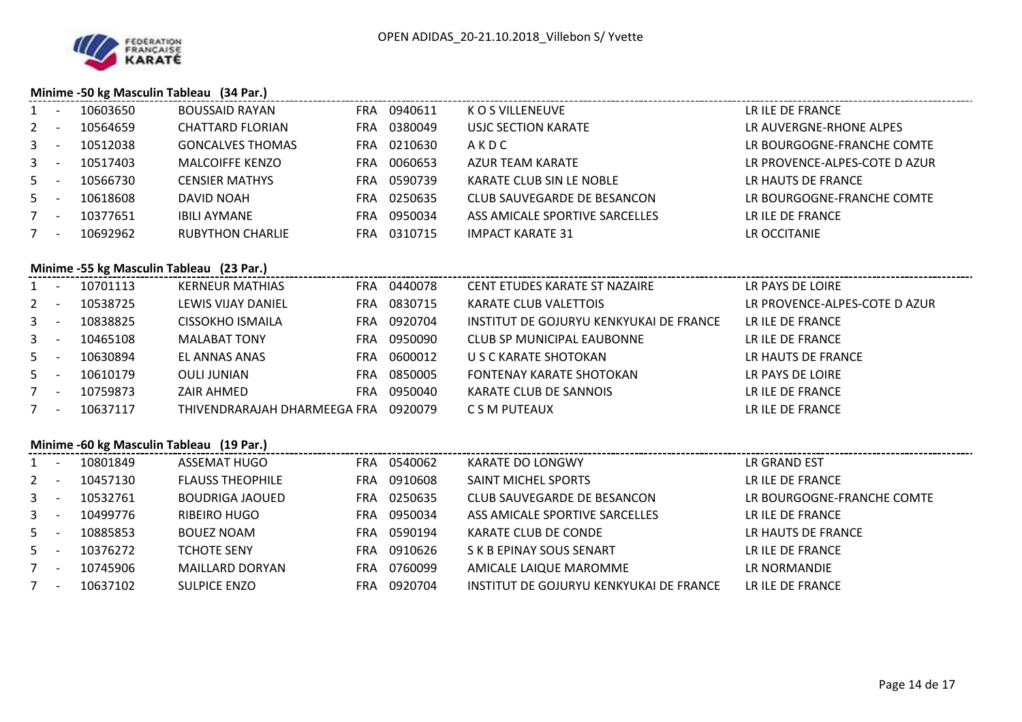

## **Minime -50 kg Masculin Tableau (34 Par.)**

| $1 -$   |                                          | 10603650 | <b>BOUSSAID RAYAN</b>                |  | FRA 0940611 | K O S VILLENEUVE                        | LR ILE DE FRANCE              |  |  |  |  |
|---------|------------------------------------------|----------|--------------------------------------|--|-------------|-----------------------------------------|-------------------------------|--|--|--|--|
| $2 -$   |                                          | 10564659 | CHATTARD FLORIAN                     |  | FRA 0380049 | USJC SECTION KARATE                     | LR AUVERGNE-RHONE ALPES       |  |  |  |  |
| $3 -$   |                                          | 10512038 | <b>GONCALVES THOMAS</b>              |  | FRA 0210630 | AKDC                                    | LR BOURGOGNE-FRANCHE COMTE    |  |  |  |  |
| $3 -$   |                                          | 10517403 | <b>MALCOIFFE KENZO</b>               |  | FRA 0060653 | AZUR TEAM KARATE                        | LR PROVENCE-ALPES-COTE D AZUR |  |  |  |  |
| $5 -$   |                                          | 10566730 | <b>CENSIER MATHYS</b>                |  | FRA 0590739 | KARATE CLUB SIN LE NOBLE                | LR HAUTS DE FRANCE            |  |  |  |  |
| $5 -$   |                                          | 10618608 | DAVID NOAH                           |  | FRA 0250635 | CLUB SAUVEGARDE DE BESANCON             | LR BOURGOGNE-FRANCHE COMTE    |  |  |  |  |
| $7 -$   |                                          | 10377651 | <b>IBILI AYMANE</b>                  |  | FRA 0950034 | ASS AMICALE SPORTIVE SARCELLES          | LR ILE DE FRANCE              |  |  |  |  |
| $7 -$   |                                          | 10692962 | <b>RUBYTHON CHARLIE</b>              |  | FRA 0310715 | <b>IMPACT KARATE 31</b>                 | LR OCCITANIE                  |  |  |  |  |
|         | Minime -55 kg Masculin Tableau (23 Par.) |          |                                      |  |             |                                         |                               |  |  |  |  |
| $1 -$   |                                          | 10701113 | <b>KERNEUR MATHIAS</b>               |  | FRA 0440078 | CENT ETUDES KARATE ST NAZAIRE           | LR PAYS DE LOIRE              |  |  |  |  |
|         |                                          |          |                                      |  |             |                                         |                               |  |  |  |  |
| $2 -$   |                                          | 10538725 | LEWIS VIJAY DANIEL                   |  | FRA 0830715 | KARATE CLUB VALETTOIS                   | LR PROVENCE-ALPES-COTE D AZUR |  |  |  |  |
| $3 - 1$ |                                          | 10838825 | CISSOKHO ISMAILA                     |  | FRA 0920704 | INSTITUT DE GOJURYU KENKYUKAI DE FRANCE | LR ILE DE FRANCE              |  |  |  |  |
| $3 - 1$ |                                          | 10465108 | <b>MALABAT TONY</b>                  |  | FRA 0950090 | CLUB SP MUNICIPAL EAUBONNE              | LR ILE DE FRANCE              |  |  |  |  |
| $5 -$   |                                          | 10630894 | EL ANNAS ANAS                        |  | FRA 0600012 | U S C KARATE SHOTOKAN                   | LR HAUTS DE FRANCE            |  |  |  |  |
| $5 -$   |                                          | 10610179 | OULI JUNIAN                          |  | FRA 0850005 | FONTENAY KARATE SHOTOKAN                | LR PAYS DE LOIRE              |  |  |  |  |
| $7 -$   |                                          | 10759873 | ZAIR AHMED                           |  | FRA 0950040 | KARATE CLUB DE SANNOIS                  | LR ILE DE FRANCE              |  |  |  |  |
| $7 -$   |                                          | 10637117 | THIVENDRARAJAH DHARMEEGA FRA 0920079 |  |             | C S M PUTEAUX                           | LR ILE DE FRANCE              |  |  |  |  |

## **Minime -60 kg Masculin Tableau (19 Par.)**

|       | $\overline{\phantom{a}}$ | 10801849 | ASSEMAT HUGO            | FRA | 0540062 | KARATE DO LONGWY                        | LR GRAND EST               |
|-------|--------------------------|----------|-------------------------|-----|---------|-----------------------------------------|----------------------------|
| $2 -$ |                          | 10457130 | <b>FLAUSS THEOPHILE</b> | FRA | 0910608 | SAINT MICHEL SPORTS                     | LR ILE DE FRANCE           |
| $3 -$ |                          | 10532761 | BOUDRIGA JAOUED         | FRA | 0250635 | CLUB SAUVEGARDE DE BESANCON             | LR BOURGOGNE-FRANCHE COMTE |
| $3 -$ |                          | 10499776 | RIBEIRO HUGO            | FRA | 0950034 | ASS AMICALE SPORTIVE SARCELLES          | LR ILE DE FRANCE           |
| $5 -$ |                          | 10885853 | <b>BOUEZ NOAM</b>       | FRA | 0590194 | KARATE CLUB DE CONDE                    | LR HAUTS DE FRANCE         |
| $5 -$ |                          | 10376272 | <b>TCHOTE SENY</b>      | FRA | 0910626 | S K B EPINAY SOUS SENART                | LR ILE DE FRANCE           |
|       | $\overline{\phantom{a}}$ | 10745906 | <b>MAILLARD DORYAN</b>  | FRA | 0760099 | AMICALE LAIQUE MAROMME                  | LR NORMANDIE               |
|       | $\overline{\phantom{a}}$ | 10637102 | <b>SULPICE ENZO</b>     | FRA | 0920704 | INSTITUT DE GOJURYU KENKYUKAI DE FRANCE | LR ILE DE FRANCE           |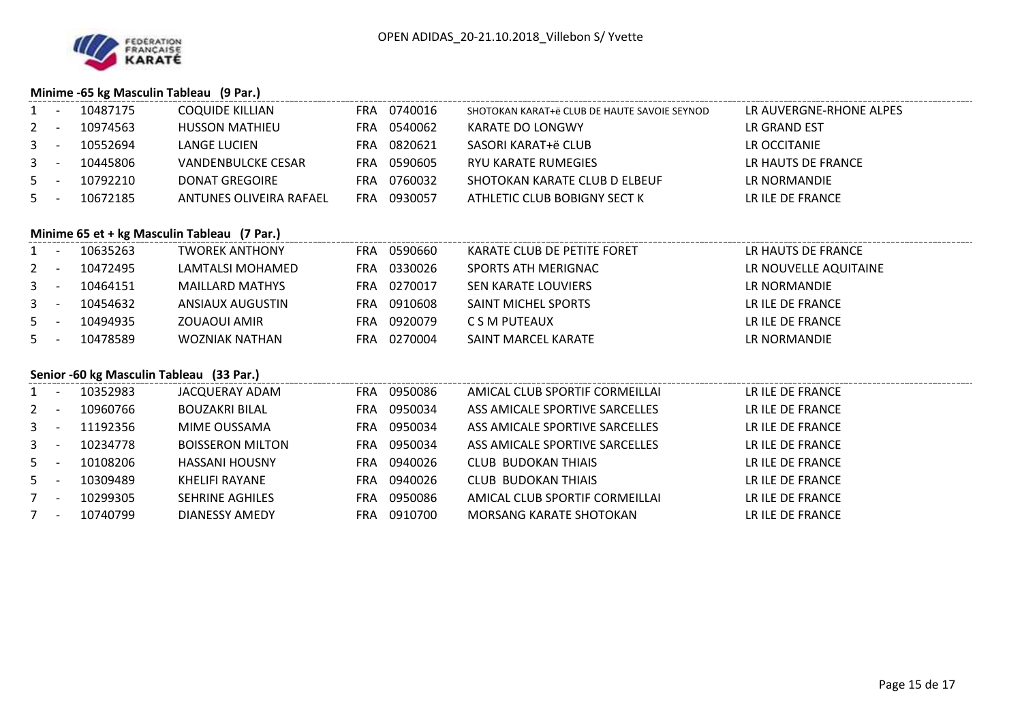

### **Minime -65 kg Masculin Tableau (9 Par.)**

|                | $\overline{\phantom{a}}$                    | 10487175                                 | <b>COQUIDE KILLIAN</b>    |  | FRA 0740016 | SHOTOKAN KARAT+ë CLUB DE HAUTE SAVOIE SEYNOD | LR AUVERGNE-RHONE ALPES |  |  |  |  |  |  |
|----------------|---------------------------------------------|------------------------------------------|---------------------------|--|-------------|----------------------------------------------|-------------------------|--|--|--|--|--|--|
| $\overline{2}$ | $\sim$ $-$                                  | 10974563                                 | <b>HUSSON MATHIEU</b>     |  | FRA 0540062 | KARATE DO LONGWY                             | LR GRAND EST            |  |  |  |  |  |  |
| 3              | $\sim$ $-$                                  | 10552694                                 | <b>LANGE LUCIEN</b>       |  | FRA 0820621 | SASORI KARAT+ë CLUB                          | LR OCCITANIE            |  |  |  |  |  |  |
| $3 - 1$        |                                             | 10445806                                 | <b>VANDENBULCKE CESAR</b> |  | FRA 0590605 | RYU KARATE RUMEGIES                          | LR HAUTS DE FRANCE      |  |  |  |  |  |  |
| $5 -$          |                                             | 10792210                                 | <b>DONAT GREGOIRE</b>     |  | FRA 0760032 | SHOTOKAN KARATE CLUB D ELBEUF                | LR NORMANDIE            |  |  |  |  |  |  |
|                | $5 -$                                       | 10672185                                 | ANTUNES OLIVEIRA RAFAEL   |  | FRA 0930057 | ATHLETIC CLUB BOBIGNY SECT K                 | LR ILE DE FRANCE        |  |  |  |  |  |  |
|                |                                             |                                          |                           |  |             |                                              |                         |  |  |  |  |  |  |
|                | Minime 65 et + kg Masculin Tableau (7 Par.) |                                          |                           |  |             |                                              |                         |  |  |  |  |  |  |
|                | $1 -$                                       | 10635263                                 | <b>TWOREK ANTHONY</b>     |  | FRA 0590660 | KARATE CLUB DE PETITE FORET                  | LR HAUTS DE FRANCE      |  |  |  |  |  |  |
| $2 -$          |                                             | 10472495                                 | LAMTALSI MOHAMED          |  | FRA 0330026 | SPORTS ATH MERIGNAC                          | LR NOUVELLE AQUITAINE   |  |  |  |  |  |  |
| $3 -$          |                                             | 10464151                                 | <b>MAILLARD MATHYS</b>    |  | FRA 0270017 | SEN KARATE LOUVIERS                          | LR NORMANDIE            |  |  |  |  |  |  |
| $3 - 1$        |                                             | 10454632                                 | ANSIAUX AUGUSTIN          |  | FRA 0910608 | SAINT MICHEL SPORTS                          | LR ILE DE FRANCE        |  |  |  |  |  |  |
| $5 -$          |                                             | 10494935                                 | ZOUAOUI AMIR              |  | FRA 0920079 | C S M PUTEAUX                                | LR ILE DE FRANCE        |  |  |  |  |  |  |
| $5 -$          |                                             | 10478589                                 | <b>WOZNIAK NATHAN</b>     |  | FRA 0270004 | SAINT MARCEL KARATE                          | LR NORMANDIE            |  |  |  |  |  |  |
|                |                                             |                                          |                           |  |             |                                              |                         |  |  |  |  |  |  |
|                |                                             | Senior -60 kg Masculin Tableau (33 Par.) |                           |  |             |                                              |                         |  |  |  |  |  |  |
|                | $1 -$                                       | 10352983                                 | JACQUERAY ADAM            |  | FRA 0950086 | AMICAL CLUB SPORTIF CORMEILLAI               | LR ILE DE FRANCE        |  |  |  |  |  |  |
| $2 -$          |                                             | 10960766                                 | <b>BOUZAKRI BILAL</b>     |  | FRA 0950034 | ASS AMICALE SPORTIVE SARCELLES               | LR ILE DE FRANCE        |  |  |  |  |  |  |
|                | $3 - 1$                                     | 11192356                                 | MIME OUSSAMA              |  | FRA 0950034 | ASS AMICALE SPORTIVE SARCELLES               | LR ILE DE FRANCE        |  |  |  |  |  |  |
| $3 - 5$        |                                             | 10234778                                 | <b>BOISSERON MILTON</b>   |  | FRA 0950034 | ASS AMICALE SPORTIVE SARCELLES               | LR ILE DE FRANCE        |  |  |  |  |  |  |
| $5 -$          |                                             | 10108206                                 | <b>HASSANI HOUSNY</b>     |  | FRA 0940026 | <b>CLUB BUDOKAN THIAIS</b>                   | LR ILE DE FRANCE        |  |  |  |  |  |  |
| $5 -$          |                                             | 10309489                                 | KHELIFI RAYANE            |  | FRA 0940026 | <b>CLUB BUDOKAN THIAIS</b>                   | LR ILE DE FRANCE        |  |  |  |  |  |  |
| $7 -$          |                                             | 10299305                                 | <b>SEHRINE AGHILES</b>    |  | FRA 0950086 | AMICAL CLUB SPORTIF CORMEILLAI               | LR ILE DE FRANCE        |  |  |  |  |  |  |
| $7 -$          |                                             | 10740799                                 | DIANESSY AMEDY            |  | FRA 0910700 | MORSANG KARATE SHOTOKAN                      | LR ILE DE FRANCE        |  |  |  |  |  |  |
|                |                                             |                                          |                           |  |             |                                              |                         |  |  |  |  |  |  |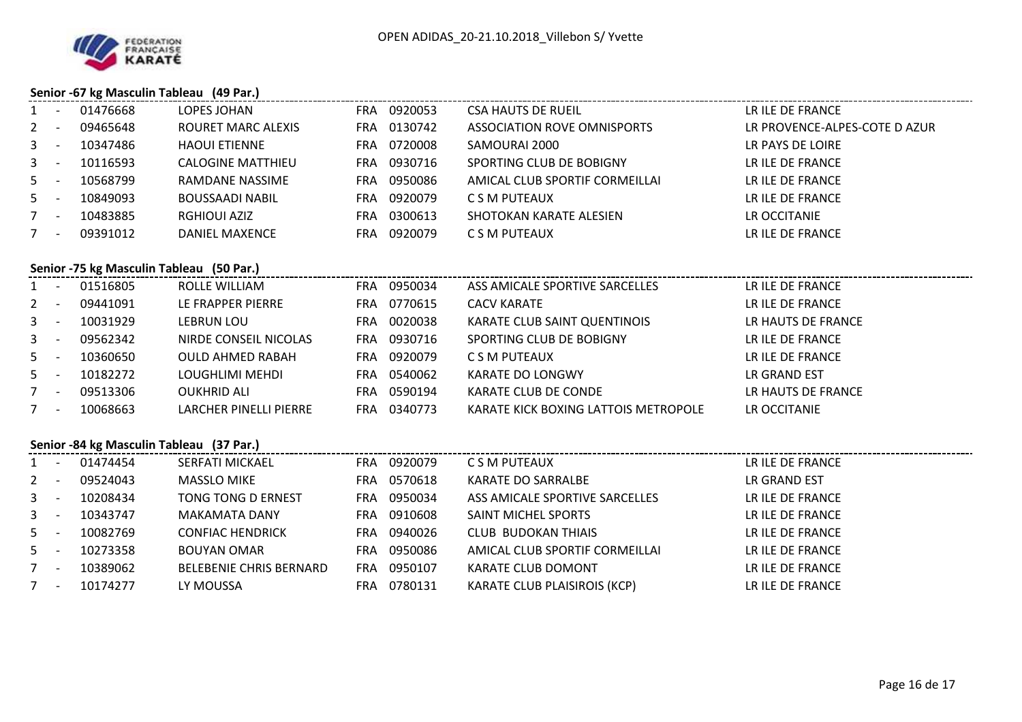

## **Senior -67 kg Masculin Tableau (49 Par.)**

| $\mathbf{1}$   | $\sim$ $-$                               | 01476668                                 | LOPES JOHAN                    |  | FRA 0920053 | <b>CSA HAUTS DE RUEIL</b>            | LR ILE DE FRANCE              |  |  |  |  |  |  |
|----------------|------------------------------------------|------------------------------------------|--------------------------------|--|-------------|--------------------------------------|-------------------------------|--|--|--|--|--|--|
| $\mathbf{2}$   | $\sim$ $-$                               | 09465648                                 | ROURET MARC ALEXIS             |  | FRA 0130742 | ASSOCIATION ROVE OMNISPORTS          | LR PROVENCE-ALPES-COTE D AZUR |  |  |  |  |  |  |
| 3              | $\sim$ $-$                               | 10347486                                 | <b>HAOUI ETIENNE</b>           |  | FRA 0720008 | SAMOURAI 2000                        | LR PAYS DE LOIRE              |  |  |  |  |  |  |
| $\mathbf{3}$   | $\sim$ $-$                               | 10116593                                 | <b>CALOGINE MATTHIEU</b>       |  | FRA 0930716 | SPORTING CLUB DE BOBIGNY             | LR ILE DE FRANCE              |  |  |  |  |  |  |
| $5 -$          |                                          | 10568799                                 | RAMDANE NASSIME                |  | FRA 0950086 | AMICAL CLUB SPORTIF CORMEILLAI       | LR ILE DE FRANCE              |  |  |  |  |  |  |
| $5 -$          |                                          | 10849093                                 | <b>BOUSSAADI NABIL</b>         |  | FRA 0920079 | C S M PUTEAUX                        | LR ILE DE FRANCE              |  |  |  |  |  |  |
| $7 -$          |                                          | 10483885                                 | <b>RGHIOUI AZIZ</b>            |  | FRA 0300613 | SHOTOKAN KARATE ALESIEN              | LR OCCITANIE                  |  |  |  |  |  |  |
| $7 -$          |                                          | 09391012                                 | DANIEL MAXENCE                 |  | FRA 0920079 | C S M PUTEAUX                        | LR ILE DE FRANCE              |  |  |  |  |  |  |
|                | Senior -75 kg Masculin Tableau (50 Par.) |                                          |                                |  |             |                                      |                               |  |  |  |  |  |  |
|                |                                          | 1 - 01516805                             | ROLLE WILLIAM                  |  | FRA 0950034 | ASS AMICALE SPORTIVE SARCELLES       | LR ILE DE FRANCE              |  |  |  |  |  |  |
| $2^{\circ}$    | $\sim$ $-$                               | 09441091                                 | LE FRAPPER PIERRE              |  | FRA 0770615 | <b>CACV KARATE</b>                   | LR ILE DE FRANCE              |  |  |  |  |  |  |
| $3 - 1$        |                                          | 10031929                                 | LEBRUN LOU                     |  | FRA 0020038 | KARATE CLUB SAINT QUENTINOIS         | LR HAUTS DE FRANCE            |  |  |  |  |  |  |
| $3 - -$        |                                          | 09562342                                 | NIRDE CONSEIL NICOLAS          |  | FRA 0930716 | SPORTING CLUB DE BOBIGNY             | LR ILE DE FRANCE              |  |  |  |  |  |  |
| $5 -$          |                                          | 10360650                                 | <b>OULD AHMED RABAH</b>        |  | FRA 0920079 | C S M PUTEAUX                        | LR ILE DE FRANCE              |  |  |  |  |  |  |
| $5 -$          |                                          | 10182272                                 | LOUGHLIMI MEHDI                |  | FRA 0540062 | KARATE DO LONGWY                     | LR GRAND EST                  |  |  |  |  |  |  |
|                | $7 -$                                    | 09513306                                 | <b>OUKHRID ALI</b>             |  | FRA 0590194 | KARATE CLUB DE CONDE                 | LR HAUTS DE FRANCE            |  |  |  |  |  |  |
| $7 -$          |                                          | 10068663                                 | LARCHER PINELLI PIERRE         |  | FRA 0340773 | KARATE KICK BOXING LATTOIS METROPOLE | LR OCCITANIE                  |  |  |  |  |  |  |
|                |                                          | Senior -84 kg Masculin Tableau (37 Par.) |                                |  |             |                                      |                               |  |  |  |  |  |  |
| $1 -$          |                                          | 01474454                                 | SERFATI MICKAEL                |  | FRA 0920079 | C S M PUTEAUX                        | LR ILE DE FRANCE              |  |  |  |  |  |  |
| $\overline{2}$ | $\sim$ $ \sim$                           | 09524043                                 | <b>MASSLO MIKE</b>             |  | FRA 0570618 | KARATE DO SARRALBE                   | LR GRAND EST                  |  |  |  |  |  |  |
| $3 - 1$        |                                          | 10208434                                 | TONG TONG D ERNEST             |  | FRA 0950034 | ASS AMICALE SPORTIVE SARCELLES       | LR ILE DE FRANCE              |  |  |  |  |  |  |
| $3 - -$        |                                          | 10343747                                 | <b>MAKAMATA DANY</b>           |  | FRA 0910608 | SAINT MICHEL SPORTS                  | LR ILE DE FRANCE              |  |  |  |  |  |  |
| $5 - 5$        |                                          | 10082769                                 | <b>CONFIAC HENDRICK</b>        |  | FRA 0940026 | <b>CLUB BUDOKAN THIAIS</b>           | LR ILE DE FRANCE              |  |  |  |  |  |  |
| $5 -$          |                                          | 10273358                                 | <b>BOUYAN OMAR</b>             |  | FRA 0950086 | AMICAL CLUB SPORTIF CORMEILLAI       | LR ILE DE FRANCE              |  |  |  |  |  |  |
| $7 -$          |                                          | 10389062                                 | <b>BELEBENIE CHRIS BERNARD</b> |  | FRA 0950107 | KARATE CLUB DOMONT                   | LR ILE DE FRANCE              |  |  |  |  |  |  |
|                | $7 -$                                    | 10174277                                 | LY MOUSSA                      |  | FRA 0780131 | KARATE CLUB PLAISIROIS (KCP)         | LR ILE DE FRANCE              |  |  |  |  |  |  |